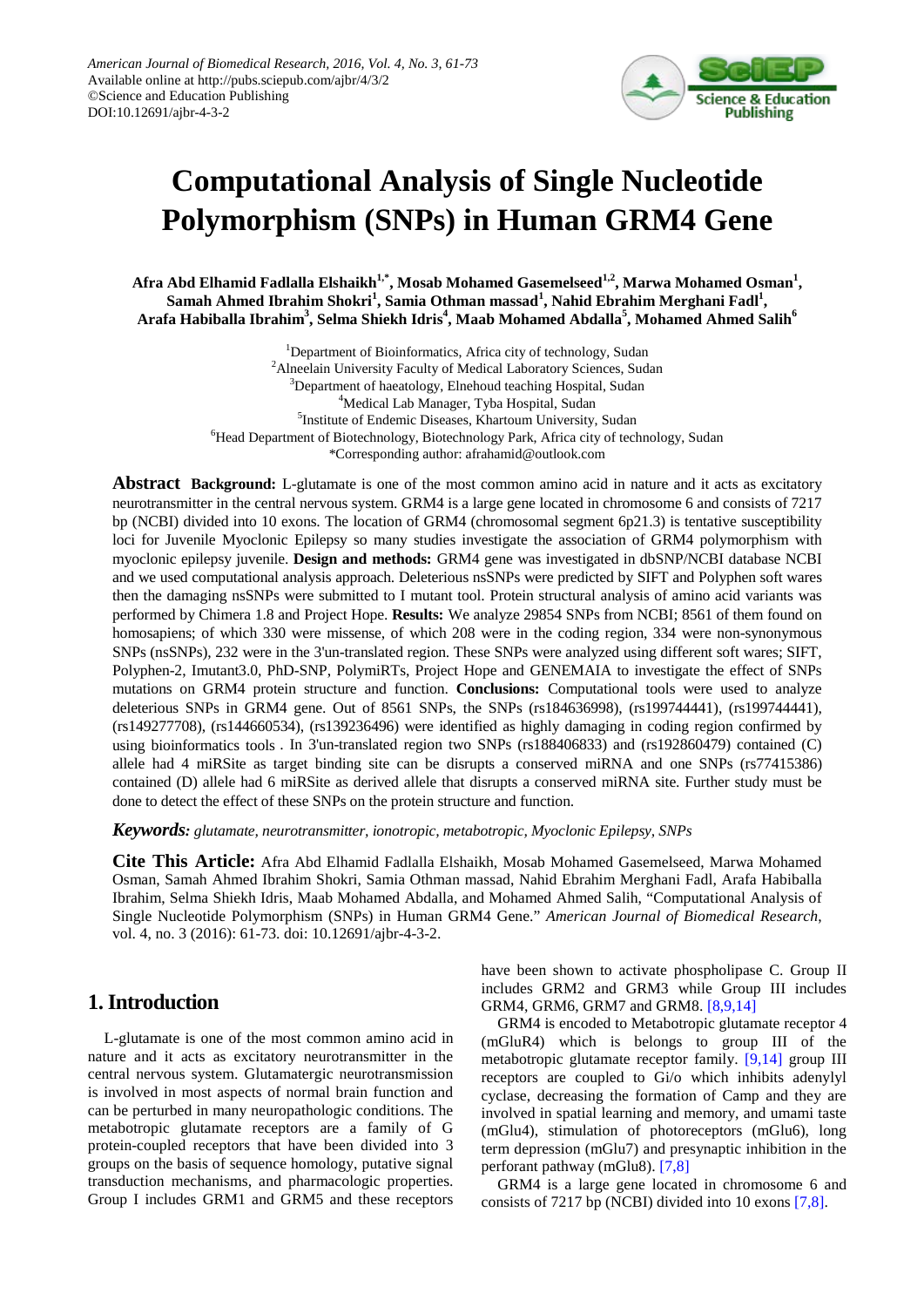

# **Computational Analysis of Single Nucleotide Polymorphism (SNPs) in Human GRM4 Gene**

Afra Abd Elhamid Fadlalla Elshaikh<sup>1,\*</sup>, Mosab Mohamed Gasemelseed<sup>1,2</sup>, Marwa Mohamed Osman<sup>1</sup>, **Samah Ahmed Ibrahim Shokri<sup>1</sup> , Samia Othman massad<sup>1</sup> , Nahid Ebrahim Merghani Fadl<sup>1</sup> ,**   $\bm{\Lambda}$ rafa Habiballa Ibrahim $^3$ , Selma Shiekh Idris $^4$ , Maab Mohamed Abdalla $^5$ , Mohamed Ahmed Salih $^6$ 

> <sup>1</sup>Department of Bioinformatics, Africa city of technology, Sudan <sup>2</sup> Alneelain University Faculty of Medical Laboratory Sciences, Sudan <sup>3</sup>Department of haeatology, Elnehoud teaching Hospital, Sudan <sup>4</sup>Medical Lab Manager, Tyba Hospital, Sudan 5 Institute of Endemic Diseases, Khartoum University, Sudan 6 Head Department of Biotechnology, Biotechnology Park, Africa city of technology, Sudan \*Corresponding author: afrahamid@outlook.com

**Abstract Background:** L-glutamate is one of the most common amino acid in nature and it acts as excitatory neurotransmitter in the central nervous system. GRM4 is a large gene located in chromosome 6 and consists of 7217 bp (NCBI) divided into 10 exons. The location of GRM4 (chromosomal segment 6p21.3) is tentative susceptibility loci for Juvenile Myoclonic Epilepsy so many studies investigate the association of GRM4 polymorphism with myoclonic epilepsy juvenile. **Design and methods:** GRM4 gene was investigated in dbSNP/NCBI database NCBI and we used computational analysis approach. Deleterious nsSNPs were predicted by SIFT and Polyphen soft wares then the damaging nsSNPs were submitted to I mutant tool. Protein structural analysis of amino acid variants was performed by Chimera 1.8 and Project Hope. **Results:** We analyze 29854 SNPs from NCBI; 8561 of them found on homosapiens; of which 330 were missense, of which 208 were in the coding region, 334 were non-synonymous SNPs (nsSNPs), 232 were in the 3'un-translated region. These SNPs were analyzed using different soft wares; SIFT, Polyphen-2, Imutant3.0, PhD-SNP, PolymiRTs, Project Hope and GENEMAIA to investigate the effect of SNPs mutations on GRM4 protein structure and function. **Conclusions:** Computational tools were used to analyze deleterious SNPs in GRM4 gene. Out of 8561 SNPs, the SNPs (rs184636998), (rs199744441), (rs199744441), (rs149277708), (rs144660534), (rs139236496) were identified as highly damaging in coding region confirmed by using bioinformatics tools . In 3'un-translated region two SNPs (rs188406833) and (rs192860479) contained (C) allele had 4 miRSite as target binding site can be disrupts a conserved miRNA and one SNPs (rs77415386) contained (D) allele had 6 miRSite as derived allele that disrupts a conserved miRNA site. Further study must be done to detect the effect of these SNPs on the protein structure and function.

*Keywords: glutamate, neurotransmitter, ionotropic, metabotropic, Myoclonic Epilepsy, SNPs*

**Cite This Article:** Afra Abd Elhamid Fadlalla Elshaikh, Mosab Mohamed Gasemelseed, Marwa Mohamed Osman, Samah Ahmed Ibrahim Shokri, Samia Othman massad, Nahid Ebrahim Merghani Fadl, Arafa Habiballa Ibrahim, Selma Shiekh Idris, Maab Mohamed Abdalla, and Mohamed Ahmed Salih, "Computational Analysis of Single Nucleotide Polymorphism (SNPs) in Human GRM4 Gene." *American Journal of Biomedical Research*, vol. 4, no. 3 (2016): 61-73. doi: 10.12691/ajbr-4-3-2.

# **1. Introduction**

L-glutamate is one of the most common amino acid in nature and it acts as excitatory neurotransmitter in the central nervous system. Glutamatergic neurotransmission is involved in most aspects of normal brain function and can be perturbed in many neuropathologic conditions. The metabotropic glutamate receptors are a family of G protein-coupled receptors that have been divided into 3 groups on the basis of sequence homology, putative signal transduction mechanisms, and pharmacologic properties. Group I includes GRM1 and GRM5 and these receptors have been shown to activate phospholipase C. Group II includes GRM2 and GRM3 while Group III includes GRM4, GRM6, GRM7 and GRM8. [\[8,9,14\]](#page-7-0)

GRM4 is encoded to Metabotropic glutamate receptor 4 (mGluR4) which is belongs to group III of the metabotropic glutamate receptor family. [\[9,14\]](#page-7-1) group III receptors are coupled to Gi/o which inhibits adenylyl cyclase, decreasing the formation of Camp and they are involved in spatial learning and memory, and umami taste (mGlu4), stimulation of photoreceptors (mGlu6), long term depression (mGlu7) and presynaptic inhibition in the perforant pathway (mGlu8). [\[7,8\]](#page-7-2)

GRM4 is a large gene located in chromosome 6 and consists of 7217 bp (NCBI) divided into 10 exons [\[7,8\].](#page-7-2)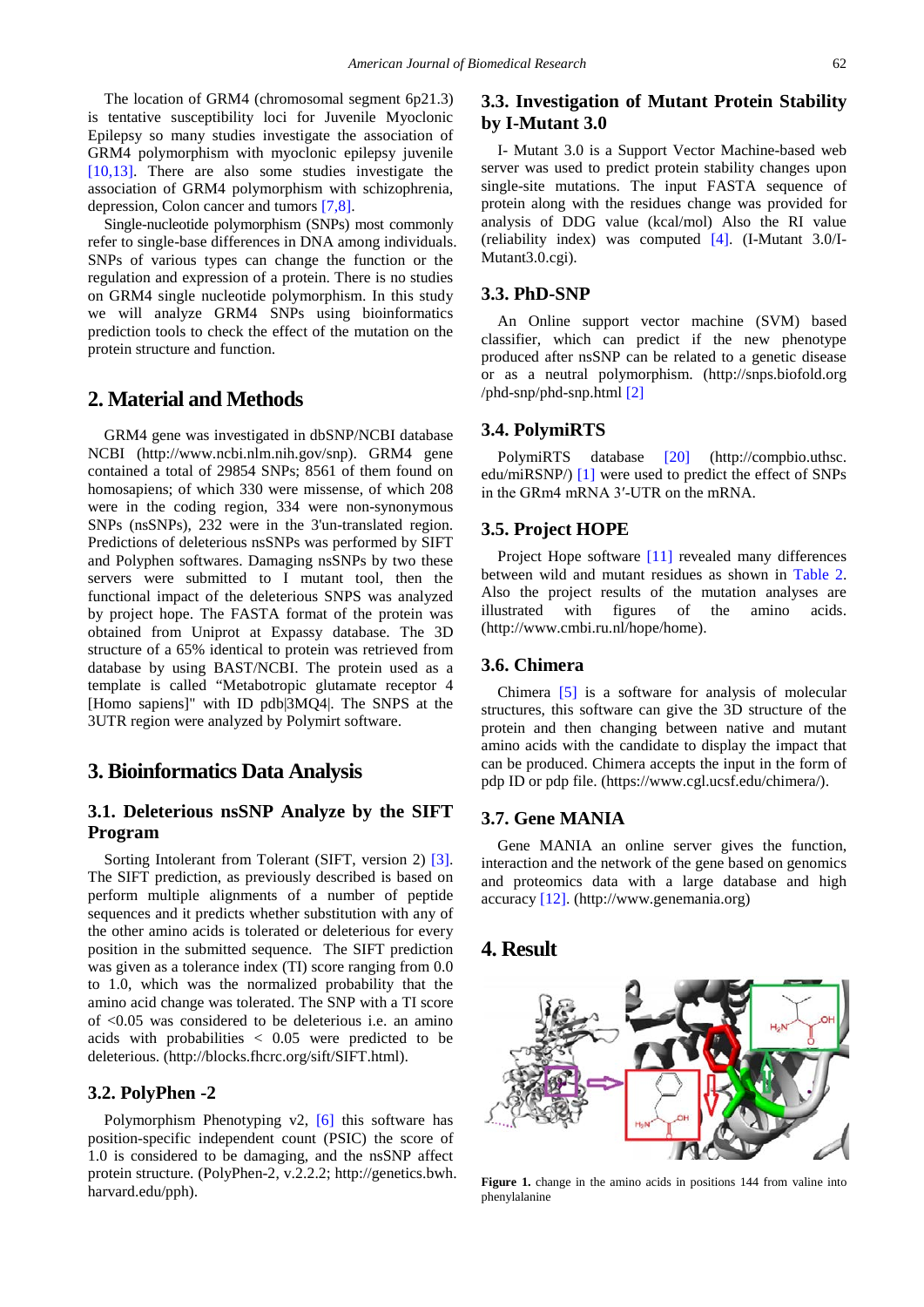The location of GRM4 (chromosomal segment 6p21.3) is tentative susceptibility loci for Juvenile Myoclonic Epilepsy so many studies investigate the association of GRM4 polymorphism with myoclonic epilepsy juvenile [\[10,13\].](#page-7-3) There are also some studies investigate the association of GRM4 polymorphism with schizophrenia, depression, Colon cancer and tumors [\[7,8\].](#page-7-2)

Single-nucleotide polymorphism (SNPs) most commonly refer to single-base differences in DNA among individuals. SNPs of various types can change the function or the regulation and expression of a protein. There is no studies on GRM4 single nucleotide polymorphism. In this study we will analyze GRM4 SNPs using bioinformatics prediction tools to check the effect of the mutation on the protein structure and function.

# **2. Material and Methods**

GRM4 gene was investigated in dbSNP/NCBI database NCBI (http://www.ncbi.nlm.nih.gov/snp). GRM4 gene contained a total of 29854 SNPs; 8561 of them found on homosapiens; of which 330 were missense, of which 208 were in the coding region, 334 were non-synonymous SNPs (nsSNPs), 232 were in the 3'un-translated region. Predictions of deleterious nsSNPs was performed by SIFT and Polyphen softwares. Damaging nsSNPs by two these servers were submitted to I mutant tool, then the functional impact of the deleterious SNPS was analyzed by project hope. The FASTA format of the protein was obtained from Uniprot at Expassy database. The 3D structure of a 65% identical to protein was retrieved from database by using BAST/NCBI. The protein used as a template is called "Metabotropic glutamate receptor 4 [Homo sapiens]" with ID pdb|3MQ4|. The SNPS at the 3UTR region were analyzed by Polymirt software.

# **3. Bioinformatics Data Analysis**

## **3.1. Deleterious nsSNP Analyze by the SIFT Program**

Sorting Intolerant from Tolerant (SIFT, version 2) [\[3\].](#page-6-0) The SIFT prediction, as previously described is based on perform multiple alignments of a number of peptide sequences and it predicts whether substitution with any of the other amino acids is tolerated or deleterious for every position in the submitted sequence. The SIFT prediction was given as a tolerance index (TI) score ranging from 0.0 to 1.0, which was the normalized probability that the amino acid change was tolerated. The SNP with a TI score of <0.05 was considered to be deleterious i.e. an amino acids with probabilities  $< 0.05$  were predicted to be deleterious. (http://blocks.fhcrc.org/sift/SIFT.html).

### **3.2. PolyPhen -2**

Polymorphism Phenotyping v2, [\[6\]](#page-6-1) this software has position-specific independent count (PSIC) the score of 1.0 is considered to be damaging, and the nsSNP affect protein structure. (PolyPhen-2, v.2.2.2; http://genetics.bwh. harvard.edu/pph).

## **3.3. Investigation of Mutant Protein Stability by I-Mutant 3.0**

I- Mutant 3.0 is a Support Vector Machine-based web server was used to predict protein stability changes upon single-site mutations. The input FASTA sequence of protein along with the residues change was provided for analysis of DDG value (kcal/mol) Also the RI value (reliability index) was computed [\[4\].](#page-6-2) (I-Mutant 3.0/I-Mutant3.0.cgi).

#### **3.3. PhD-SNP**

An Online support vector machine (SVM) based classifier, which can predict if the new phenotype produced after nsSNP can be related to a genetic disease or as a neutral polymorphism. (http://snps.biofold.org /phd-snp/phd-snp.html [\[2\]](#page-6-3)

#### **3.4. PolymiRTS**

PolymiRTS database [20] (http://compbio.uthsc. edu/miRSNP/) [\[1\]](#page-6-4) were used to predict the effect of SNPs in the GRm4 mRNA 3′-UTR on the mRNA.

#### **3.5. Project HOPE**

Project Hope software [\[11\]](#page-7-4) revealed many differences between wild and mutant residues as shown in [Table 2.](#page-3-0) Also the project results of the mutation analyses are illustrated with figures of the amino acids. (http://www.cmbi.ru.nl/hope/home).

#### **3.6. Chimera**

Chimera [\[5\]](#page-6-5) is a software for analysis of molecular structures, this software can give the 3D structure of the protein and then changing between native and mutant amino acids with the candidate to display the impact that can be produced. Chimera accepts the input in the form of pdp ID or pdp file. (https://www.cgl.ucsf.edu/chimera/).

#### **3.7. Gene MANIA**

Gene MANIA an online server gives the function, interaction and the network of the gene based on genomics and proteomics data with a large database and high accuracy [\[12\].](#page-7-5) (http://www.genemania.org)

# **4. Result**

<span id="page-1-0"></span>

Figure 1. change in the amino acids in positions 144 from valine into phenylalanine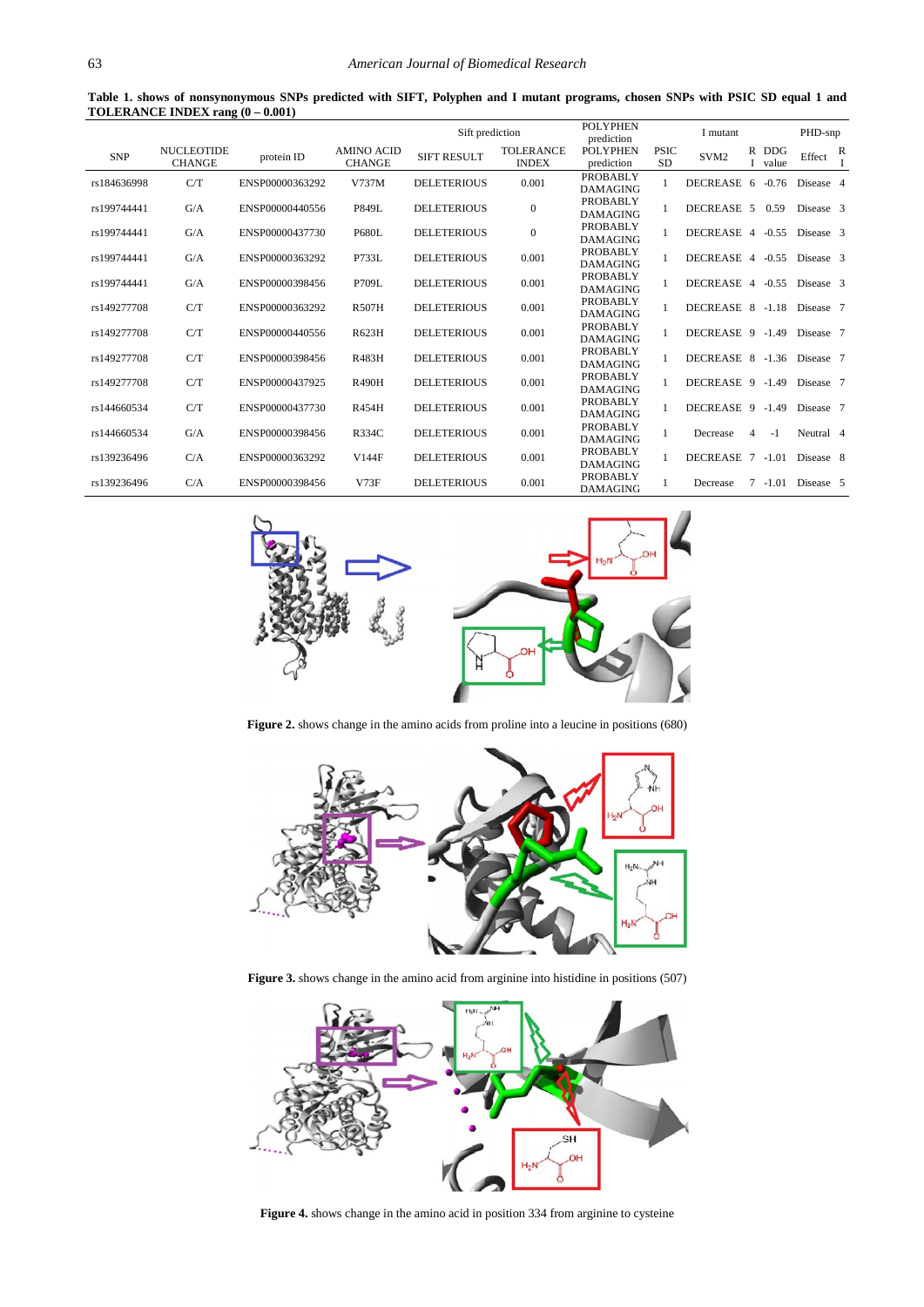**Table 1. shows of nonsynonymous SNPs predicted with SIFT, Polyphen and I mutant programs, chosen SNPs with PSIC SD equal 1 and TOLERANCE INDEX rang (0 – 0.001)**

<span id="page-2-0"></span>

|             |                                    |                 |                                    | Sift prediction    |                                  | POLYPHEN<br>prediction             |                          | I mutant         |    |                     | PHD-snp   |   |
|-------------|------------------------------------|-----------------|------------------------------------|--------------------|----------------------------------|------------------------------------|--------------------------|------------------|----|---------------------|-----------|---|
| <b>SNP</b>  | <b>NUCLEOTIDE</b><br><b>CHANGE</b> | protein ID      | <b>AMINO ACID</b><br><b>CHANGE</b> | <b>SIFT RESULT</b> | <b>TOLERANCE</b><br><b>INDEX</b> | POLYPHEN<br>prediction             | <b>PSIC</b><br><b>SD</b> | SVM <sub>2</sub> | R  | <b>DDG</b><br>value | Effect    | R |
| rs184636998 | C/T                                | ENSP00000363292 | V737M                              | <b>DELETERIOUS</b> | 0.001                            | <b>PROBABLY</b><br><b>DAMAGING</b> |                          | <b>DECREASE</b>  | -6 | $-0.76$             | Disease 4 |   |
| rs199744441 | G/A                                | ENSP00000440556 | P849L                              | <b>DELETERIOUS</b> | $\mathbf{0}$                     | <b>PROBABLY</b><br><b>DAMAGING</b> |                          | DECREASE 5       |    | 0.59                | Disease 3 |   |
| rs199744441 | G/A                                | ENSP00000437730 | <b>P680L</b>                       | <b>DELETERIOUS</b> | $\mathbf{0}$                     | <b>PROBABLY</b><br><b>DAMAGING</b> |                          | DECREASE 4       |    | $-0.55$             | Disease 3 |   |
| rs199744441 | G/A                                | ENSP00000363292 | P733L                              | <b>DELETERIOUS</b> | 0.001                            | <b>PROBABLY</b><br><b>DAMAGING</b> |                          | DECREASE 4       |    | $-0.55$             | Disease 3 |   |
| rs199744441 | G/A                                | ENSP00000398456 | P709L                              | <b>DELETERIOUS</b> | 0.001                            | <b>PROBABLY</b><br><b>DAMAGING</b> |                          | DECREASE 4       |    | $-0.55$             | Disease 3 |   |
| rs149277708 | C/T                                | ENSP00000363292 | <b>R507H</b>                       | <b>DELETERIOUS</b> | 0.001                            | <b>PROBABLY</b><br><b>DAMAGING</b> |                          | DECREASE 8       |    | $-1.18$             | Disease 7 |   |
| rs149277708 | C/T                                | ENSP00000440556 | R623H                              | <b>DELETERIOUS</b> | 0.001                            | <b>PROBABLY</b><br><b>DAMAGING</b> |                          | DECREASE 9       |    | $-1.49$             | Disease 7 |   |
| rs149277708 | C/T                                | ENSP00000398456 | R483H                              | <b>DELETERIOUS</b> | 0.001                            | <b>PROBABLY</b><br><b>DAMAGING</b> |                          | DECREASE 8       |    | $-1.36$             | Disease 7 |   |
| rs149277708 | C/T                                | ENSP00000437925 | <b>R490H</b>                       | <b>DELETERIOUS</b> | 0.001                            | <b>PROBABLY</b><br><b>DAMAGING</b> |                          | DECREASE 9       |    | $-1.49$             | Disease 7 |   |
| rs144660534 | C/T                                | ENSP00000437730 | R454H                              | <b>DELETERIOUS</b> | 0.001                            | <b>PROBABLY</b><br><b>DAMAGING</b> |                          | DECREASE 9       |    | $-1.49$             | Disease 7 |   |
| rs144660534 | G/A                                | ENSP00000398456 | R334C                              | <b>DELETERIOUS</b> | 0.001                            | <b>PROBABLY</b><br><b>DAMAGING</b> |                          | Decrease         | 4  | $-1$                | Neutral 4 |   |
| rs139236496 | C/A                                | ENSP00000363292 | V144F                              | <b>DELETERIOUS</b> | 0.001                            | <b>PROBABLY</b><br><b>DAMAGING</b> |                          | <b>DECREASE</b>  | 7  | $-1.01$             | Disease 8 |   |
| rs139236496 | C/A                                | ENSP00000398456 | V73F                               | <b>DELETERIOUS</b> | 0.001                            | <b>PROBABLY</b><br><b>DAMAGING</b> |                          | Decrease         | 7  | $-1.01$             | Disease 5 |   |

<span id="page-2-1"></span>

**Figure 2.** shows change in the amino acids from proline into a leucine in positions (680)

<span id="page-2-2"></span>

Figure 3. shows change in the amino acid from arginine into histidine in positions (507)

<span id="page-2-3"></span>

**Figure 4.** shows change in the amino acid in position 334 from arginine to cysteine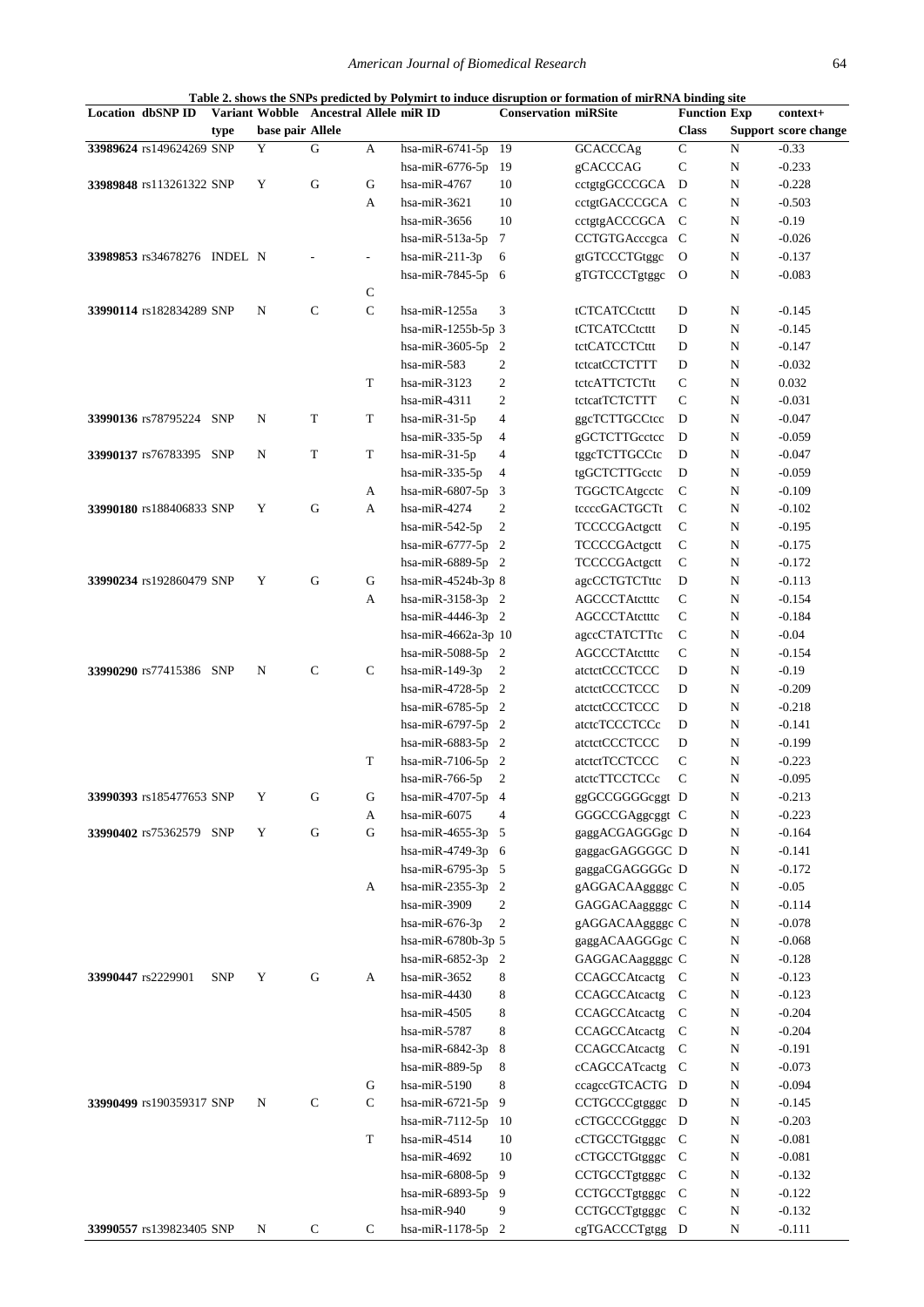<span id="page-3-0"></span>

| <b>Location dbSNP ID</b>    |            |                  | Variant Wobble Ancestral Allele miR ID |                |                     | <b>Conservation miRSite</b> |                       | <b>Function Exp</b> |           | context+             |
|-----------------------------|------------|------------------|----------------------------------------|----------------|---------------------|-----------------------------|-----------------------|---------------------|-----------|----------------------|
|                             | type       | base pair Allele |                                        |                |                     |                             |                       | <b>Class</b>        |           | Support score change |
| 33989624 rs149624269 SNP    |            | $\mathbf Y$      | G                                      | A              | hsa-miR-6741-5p     | 19                          | <b>GCACCCAg</b>       | $\mathsf C$         | ${\bf N}$ | $-0.33$              |
|                             |            |                  |                                        |                | hsa-mi $R-6776-5p$  | 19                          | gCACCCAG              | $\mathbf C$         | N         | $-0.233$             |
| 33989848 rs113261322 SNP    |            | Y                | ${\bf G}$                              | $\mathbf G$    | hsa-miR-4767        | 10                          | cctgtgGCCCGCA D       |                     | N         | $-0.228$             |
|                             |            |                  |                                        | A              | hsa-miR-3621        | 10                          | cctgtGACCCGCA C       |                     | N         | $-0.503$             |
|                             |            |                  |                                        |                | hsa-mi $R-3656$     | 10                          | cctgtgACCCGCA C       |                     |           | $-0.19$              |
|                             |            |                  |                                        |                |                     |                             |                       |                     | N         |                      |
|                             |            |                  |                                        |                | hsa-mi $R-513a-5p$  | 7                           | CCTGTGAcccgca C       |                     | N         | $-0.026$             |
| 33989853 rs34678276 INDEL N |            |                  |                                        | $\overline{a}$ | hsa-mi $R-211-3p$   | 6                           | gtGTCCCTGtggc         | $\mathbf{O}$        | N         | $-0.137$             |
|                             |            |                  |                                        |                | hsa-miR-7845-5p 6   |                             | gTGTCCCTgtggc         | $\mathbf{O}$        | N         | $-0.083$             |
|                             |            |                  |                                        | ${\bf C}$      |                     |                             |                       |                     |           |                      |
| 33990114 rs182834289 SNP    |            | N                | $\mathbf C$                            | $\mathbf C$    | hsa-miR-1255a       | 3                           | tCTCATCCtcttt         | D                   | N         | $-0.145$             |
|                             |            |                  |                                        |                | hsa-miR-1255b-5p 3  |                             | tCTCATCCtcttt         | D                   | N         | $-0.145$             |
|                             |            |                  |                                        |                | hsa-miR-3605-5p 2   |                             | tctCATCCTCttt         | D                   | N         | $-0.147$             |
|                             |            |                  |                                        |                | hsa-mi $R-583$      | $\boldsymbol{2}$            | tctcatCCTCTTT         | D                   | N         | $-0.032$             |
|                             |            |                  |                                        | T              | hsa-mi $R-3123$     | $\boldsymbol{2}$            | tctcATTCTCTtt         | C                   | N         | 0.032                |
|                             |            |                  |                                        |                | hsa-miR-4311        | $\mathfrak{2}$              | tctcatTCTCTTT         | $\mathsf{C}$        | N         | $-0.031$             |
| 33990136 rs78795224 SNP     |            | N                | T                                      | T              | hsa-miR-31-5p       | 4                           | ggcTCTTGCCtcc         | D                   | N         | $-0.047$             |
|                             |            |                  |                                        |                | hsa-mi $R-335-5p$   | 4                           | gGCTCTTGcctcc         | D                   | N         | $-0.059$             |
| 33990137 rs76783395 SNP     |            | N                | $\mathbf T$                            | $\mathbf T$    | hsa-mi $R-31-5p$    | 4                           | tggcTCTTGCCtc         | D                   | N         | $-0.047$             |
|                             |            |                  |                                        |                | hsa-miR-335-5p      | 4                           | tgGCTCTTGcctc         | D                   |           | $-0.059$             |
|                             |            |                  |                                        |                |                     |                             |                       |                     | N         |                      |
|                             |            |                  |                                        | A              | hsa-miR-6807-5p     | 3                           | TGGCTCAtgcctc         | $\mathbf C$         | N         | $-0.109$             |
| 33990180 rs188406833 SNP    |            | Y                | G                                      | A              | hsa-miR-4274        | 2                           | tccccGACTGCTt         | $\mathbf C$         | N         | $-0.102$             |
|                             |            |                  |                                        |                | hsa-mi $R-542-5p$   | $\mathbf{2}$                | TCCCCGActgctt         | $\mathbf C$         | N         | $-0.195$             |
|                             |            |                  |                                        |                | hsa-miR-6777-5p $2$ |                             | TCCCCGActgctt         | $\mathbf C$         | N         | $-0.175$             |
|                             |            |                  |                                        |                | hsa-miR-6889-5p 2   |                             | TCCCCGActgctt         | $\mathbf C$         | N         | $-0.172$             |
| 33990234 rs192860479 SNP    |            | Y                | G                                      | G              | hsa-miR-4524b-3p 8  |                             | agcCCTGTCTttc         | D                   | N         | $-0.113$             |
|                             |            |                  |                                        | A              | hsa-miR-3158-3p 2   |                             | <b>AGCCCTAtctttc</b>  | $\mathbf C$         | N         | $-0.154$             |
|                             |            |                  |                                        |                | hsa-miR-4446-3p $2$ |                             | AGCCCTAtctttc         | $\mathbf C$         | N         | $-0.184$             |
|                             |            |                  |                                        |                | hsa-miR-4662a-3p 10 |                             | agccCTATCTTtc         | $\mathbf C$         | N         | $-0.04$              |
|                             |            |                  |                                        |                | hsa-miR-5088-5p 2   |                             | <b>AGCCCTAtctttc</b>  | $\mathbf C$         | N         | $-0.154$             |
| 33990290 rs77415386 SNP     |            | N                | $\mathbf C$                            | $\mathbf C$    | hsa-miR-149-3p      | $\overline{c}$              | atctctCCCTCCC         | D                   | N         | $-0.19$              |
|                             |            |                  |                                        |                | hsa-miR-4728-5p 2   |                             | $\text{atctctCCTCCC}$ | D                   | N         | $-0.209$             |
|                             |            |                  |                                        |                | hsa-miR-6785-5p 2   |                             | atctctCCCTCCC         | D                   | N         | $-0.218$             |
|                             |            |                  |                                        |                | hsa-miR-6797-5p 2   |                             | atctcTCCCTCCc         | D                   | N         | $-0.141$             |
|                             |            |                  |                                        |                | hsa-miR-6883-5p 2   |                             | atctctCCCTCCC         | D                   | N         | $-0.199$             |
|                             |            |                  |                                        | T              | hsa-miR-7106-5p $2$ |                             | atctctTCCTCCC         | $\mathbf C$         | N         | $-0.223$             |
|                             |            |                  |                                        |                |                     |                             | atctcTTCCTCCc         | $\mathbf C$         |           | $-0.095$             |
|                             |            |                  |                                        |                | hsa-mi $R-766-5p$   | 2                           |                       |                     | N         |                      |
| 33990393 rs185477653 SNP    |            | Y                | G                                      | G              | hsa-miR-4707-5p 4   |                             | ggGCCGGGGcggt D       |                     | N         | $-0.213$             |
|                             |            |                  |                                        | A              | hsa-miR-6075        | 4                           | GGGCCGAggcggt C       |                     | N         | $-0.223$             |
| 33990402 rs75362579 SNP     |            | Y                | G                                      | $\mathbf G$    | hsa-miR-4655-3p 5   |                             | gaggACGAGGGgc D       |                     | N         | $-0.164$             |
|                             |            |                  |                                        |                | hsa-miR-4749-3p 6   |                             | gaggacGAGGGGC D       |                     | N         | $-0.141$             |
|                             |            |                  |                                        |                | hsa-miR-6795-3p 5   |                             | gaggaCGAGGGGc D       |                     | N         | $-0.172$             |
|                             |            |                  |                                        | A              | hsa-miR-2355-3p 2   |                             | gAGGACAAggggc C       |                     | N         | $-0.05$              |
|                             |            |                  |                                        |                | hsa-miR-3909        | $\boldsymbol{2}$            | GAGGACAaggggc C       |                     | ${\bf N}$ | $-0.114$             |
|                             |            |                  |                                        |                | hsa-mi $R-676-3p$   | $\boldsymbol{2}$            | gAGGACAAggggc C       |                     | N         | $-0.078$             |
|                             |            |                  |                                        |                | hsa-miR-6780b-3p 5  |                             | gaggACAAGGGgc C       |                     | N         | $-0.068$             |
|                             |            |                  |                                        |                | hsa-miR-6852-3p 2   |                             | GAGGACAaggggc C       |                     | N         | $-0.128$             |
| 33990447 rs2229901          | <b>SNP</b> | Y                | ${\bf G}$                              | A              | hsa-miR-3652        | 8                           | CCAGCCAtcactg         | $\mathbf C$         | N         | $-0.123$             |
|                             |            |                  |                                        |                | hsa-miR-4430        | 8                           | CCAGCCAtcactg         | $\mathbf C$         | N         | $-0.123$             |
|                             |            |                  |                                        |                | hsa-miR-4505        | 8                           | CCAGCCAtcactg         | $\mathbf C$         | ${\bf N}$ | $-0.204$             |
|                             |            |                  |                                        |                | hsa-miR-5787        | 8                           | CCAGCCAtcactg         | $\mathbf C$         | ${\bf N}$ | $-0.204$             |
|                             |            |                  |                                        |                | hsa-mi $R-6842-3p$  | 8                           | CCAGCCAtcactg C       |                     | ${\bf N}$ | $-0.191$             |
|                             |            |                  |                                        |                | hsa-miR-889-5p      | 8                           | cCAGCCATcactg C       |                     | N         | $-0.073$             |
|                             |            |                  |                                        | $\mathbf G$    | hsa-miR-5190        | 8                           | ccagccGTCACTG D       |                     | N         | $-0.094$             |
| 33990499 rs190359317 SNP    |            | N                | $\mathbf C$                            | $\mathbf C$    | hsa-miR-6721-5p     | 9                           | CCTGCCCgtgggc D       |                     | N         | $-0.145$             |
|                             |            |                  |                                        |                |                     |                             |                       |                     |           |                      |
|                             |            |                  |                                        |                | hsa-miR-7112-5p     | 10                          | cCTGCCCGtgggc D       |                     | N         | $-0.203$             |
|                             |            |                  |                                        | $\mathbf T$    | hsa-miR-4514        | 10                          | cCTGCCTGtgggc C       |                     | N         | $-0.081$             |
|                             |            |                  |                                        |                | hsa-miR-4692        | 10                          | cCTGCCTGtgggc C       |                     | N         | $-0.081$             |
|                             |            |                  |                                        |                | hsa-mi $R-6808-5p$  | 9                           | CCTGCCTgtgggc C       |                     | N         | $-0.132$             |
|                             |            |                  |                                        |                | hsa-mi $R-6893-5p$  | 9                           | CCTGCCTgtgggc C       |                     | N         | $-0.122$             |
|                             |            |                  |                                        |                | hsa-miR-940         | 9                           | CCTGCCTgtgggc C       |                     | N         | $-0.132$             |
| 33990557 rs139823405 SNP    |            | N                | ${\bf C}$                              | ${\bf C}$      | hsa-miR-1178-5p 2   |                             | cgTGACCCTgtgg D       |                     | N         | $-0.111$             |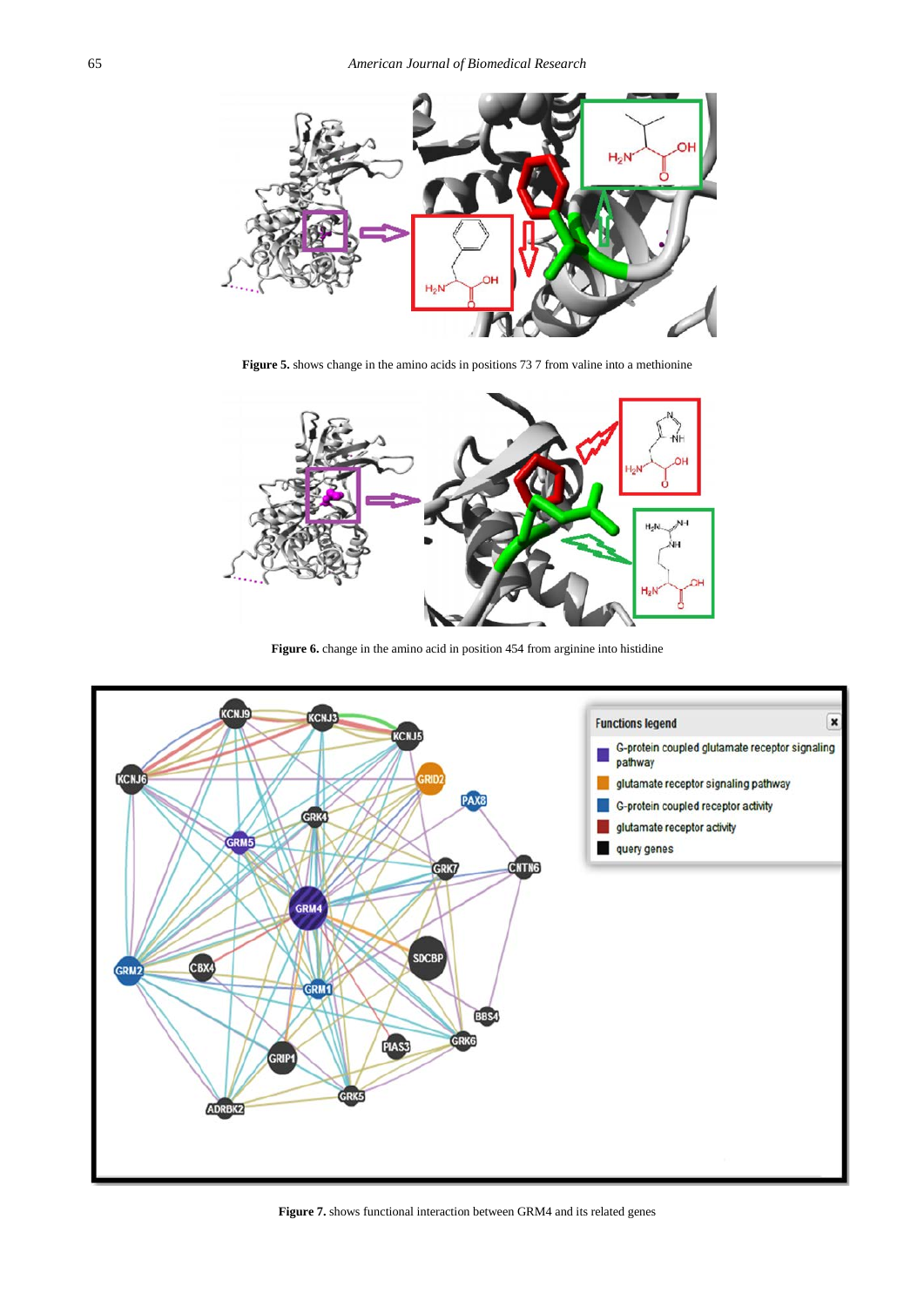<span id="page-4-0"></span>

**Figure 5.** shows change in the amino acids in positions 73 7 from valine into a methionine

<span id="page-4-1"></span>

Figure 6. change in the amino acid in position 454 from arginine into histidine



**Figure 7.** shows functional interaction between GRM4 and its related genes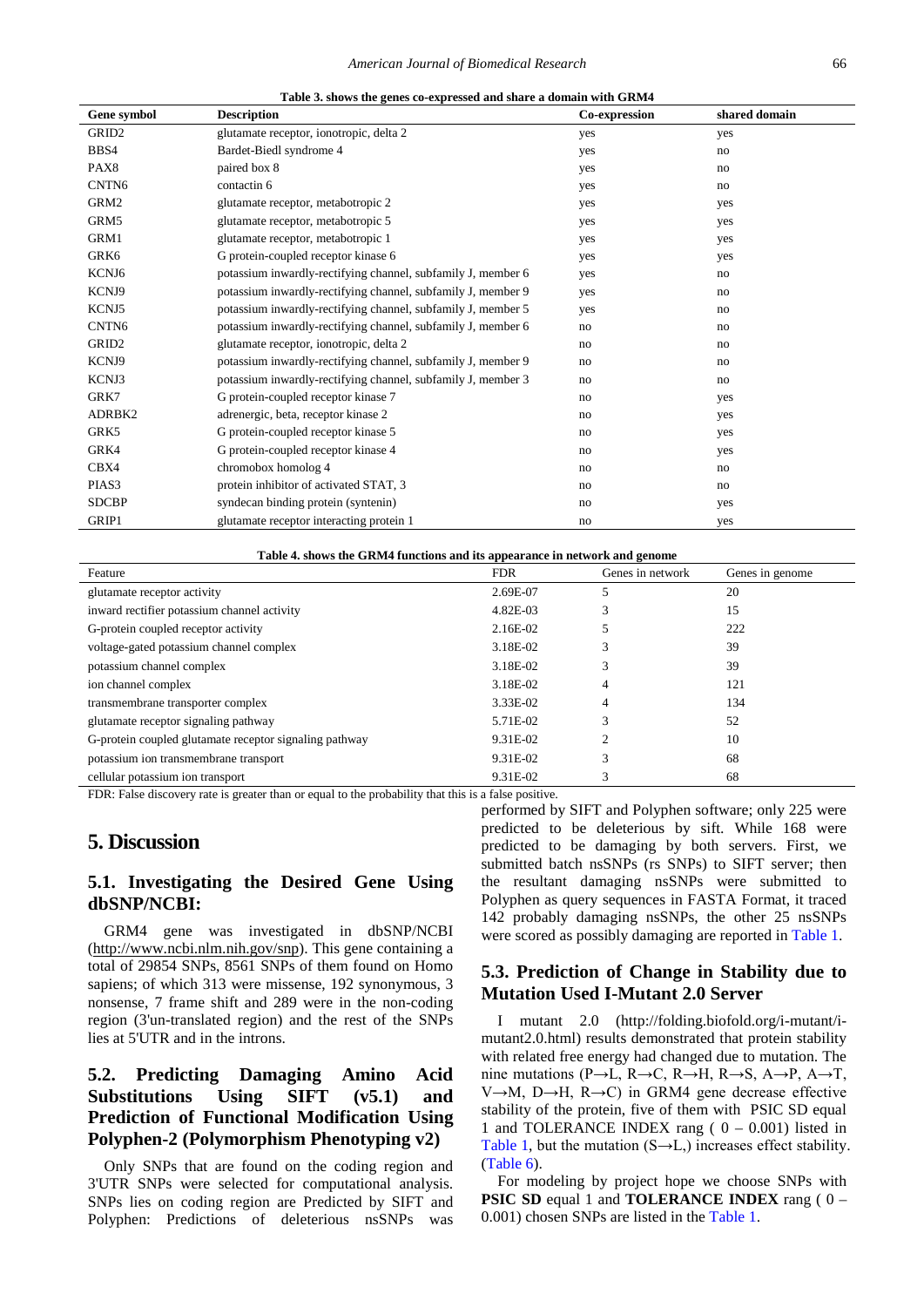<span id="page-5-0"></span>

| Gene symbol       | <b>Description</b>                                           | Co-expression | shared domain |
|-------------------|--------------------------------------------------------------|---------------|---------------|
| GRID <sub>2</sub> | glutamate receptor, ionotropic, delta 2                      | yes           | yes           |
| BBS4              | Bardet-Biedl syndrome 4                                      | yes           | no            |
| PAX8              | paired box 8                                                 | yes           | no            |
| CNTN <sub>6</sub> | contactin 6                                                  | yes           | no            |
| GRM2              | glutamate receptor, metabotropic 2                           | yes           | yes           |
| GRM5              | glutamate receptor, metabotropic 5                           | yes           | yes           |
| GRM1              | glutamate receptor, metabotropic 1                           | yes           | yes           |
| GRK6              | G protein-coupled receptor kinase 6                          | yes           | yes           |
| KCNJ6             | potassium inwardly-rectifying channel, subfamily J, member 6 | yes           | no            |
| KCNJ9             | potassium inwardly-rectifying channel, subfamily J, member 9 | yes           | no            |
| KCNJ5             | potassium inwardly-rectifying channel, subfamily J, member 5 | yes           | no            |
| CNTN <sub>6</sub> | potassium inwardly-rectifying channel, subfamily J, member 6 | no            | no            |
| GRID <sub>2</sub> | glutamate receptor, ionotropic, delta 2                      | no            | no            |
| KCNJ9             | potassium inwardly-rectifying channel, subfamily J, member 9 | no            | no            |
| KCNJ3             | potassium inwardly-rectifying channel, subfamily J, member 3 | no            | no            |
| GRK7              | G protein-coupled receptor kinase 7                          | no            | yes           |
| ADRBK2            | adrenergic, beta, receptor kinase 2                          | no            | yes           |
| GRK5              | G protein-coupled receptor kinase 5                          | no            | yes           |
| GRK4              | G protein-coupled receptor kinase 4                          | no            | yes           |
| CBX4              | chromobox homolog 4                                          | no            | no            |
| PIAS <sub>3</sub> | protein inhibitor of activated STAT, 3                       | no            | no            |
| <b>SDCBP</b>      | syndecan binding protein (syntenin)                          | no            | yes           |
| GRIP1             | glutamate receptor interacting protein 1                     | no            | yes           |

**Table 3. shows the genes co-expressed and share a domain with GRM4** 

|  |  | Table 4. shows the GRM4 functions and its appearance in network and genome |  |
|--|--|----------------------------------------------------------------------------|--|
|  |  |                                                                            |  |

| Feature                                                | <b>FDR</b> | Genes in network | Genes in genome |
|--------------------------------------------------------|------------|------------------|-----------------|
| glutamate receptor activity                            | 2.69E-07   |                  | 20              |
| inward rectifier potassium channel activity            | 4.82E-03   |                  | 15              |
| G-protein coupled receptor activity                    | 2.16E-02   |                  | 222             |
| voltage-gated potassium channel complex                | 3.18E-02   | 3                | 39              |
| potassium channel complex                              | 3.18E-02   | 3                | 39              |
| ion channel complex                                    | 3.18E-02   | 4                | 121             |
| transmembrane transporter complex                      | 3.33E-02   | 4                | 134             |
| glutamate receptor signaling pathway                   | 5.71E-02   | 3                | 52              |
| G-protein coupled glutamate receptor signaling pathway | 9.31E-02   |                  | 10              |
| potassium ion transmembrane transport                  | 9.31E-02   | 3                | 68              |
| cellular potassium ion transport                       | 9.31E-02   | 3                | 68              |

FDR: False discovery rate is greater than or equal to the probability that this is a false positive.

# **5. Discussion**

## **5.1. Investigating the Desired Gene Using dbSNP/NCBI:**

GRM4 gene was investigated in dbSNP/NCBI (http://www.ncbi.nlm.nih.gov/snp). This gene containing a total of 29854 SNPs, 8561 SNPs of them found on Homo sapiens; of which 313 were missense, 192 synonymous, 3 nonsense, 7 frame shift and 289 were in the non-coding region (3'un-translated region) and the rest of the SNPs lies at 5'UTR and in the introns.

# **5.2. Predicting Damaging Amino Acid Substitutions Using SIFT (v5.1) and Prediction of Functional Modification Using Polyphen-2 (Polymorphism Phenotyping v2)**

Only SNPs that are found on the coding region and 3'UTR SNPs were selected for computational analysis. SNPs lies on coding region are Predicted by SIFT and Polyphen: Predictions of deleterious nsSNPs was performed by SIFT and Polyphen software; only 225 were predicted to be deleterious by sift. While 168 were predicted to be damaging by both servers. First, we submitted batch nsSNPs (rs SNPs) to SIFT server; then the resultant damaging nsSNPs were submitted to Polyphen as query sequences in FASTA Format, it traced 142 probably damaging nsSNPs, the other 25 nsSNPs were scored as possibly damaging are reported in [Table 1.](#page-2-0)

## **5.3. Prediction of Change in Stability due to Mutation Used I-Mutant 2.0 Server**

I mutant 2.0 (http://folding.biofold.org/i-mutant/imutant2.0.html) results demonstrated that protein stability with related free energy had changed due to mutation. The nine mutations (P $\rightarrow$ L, R $\rightarrow$ C, R $\rightarrow$ H, R $\rightarrow$ S, A $\rightarrow$ P, A $\rightarrow$ T, V→M, D→H, R→C) in GRM4 gene decrease effective stability of the protein, five of them with PSIC SD equal 1 and TOLERANCE INDEX rang ( $0 - 0.001$ ) listed in [Table 1,](#page-2-0) but the mutation  $(S \rightarrow L)$ , increases effect stability. [\(Table 6\)](#page-12-0).

For modeling by project hope we choose SNPs with **PSIC SD** equal 1 and **TOLERANCE INDEX** rang ( 0 – 0.001) chosen SNPs are listed in the [Table 1.](#page-2-0)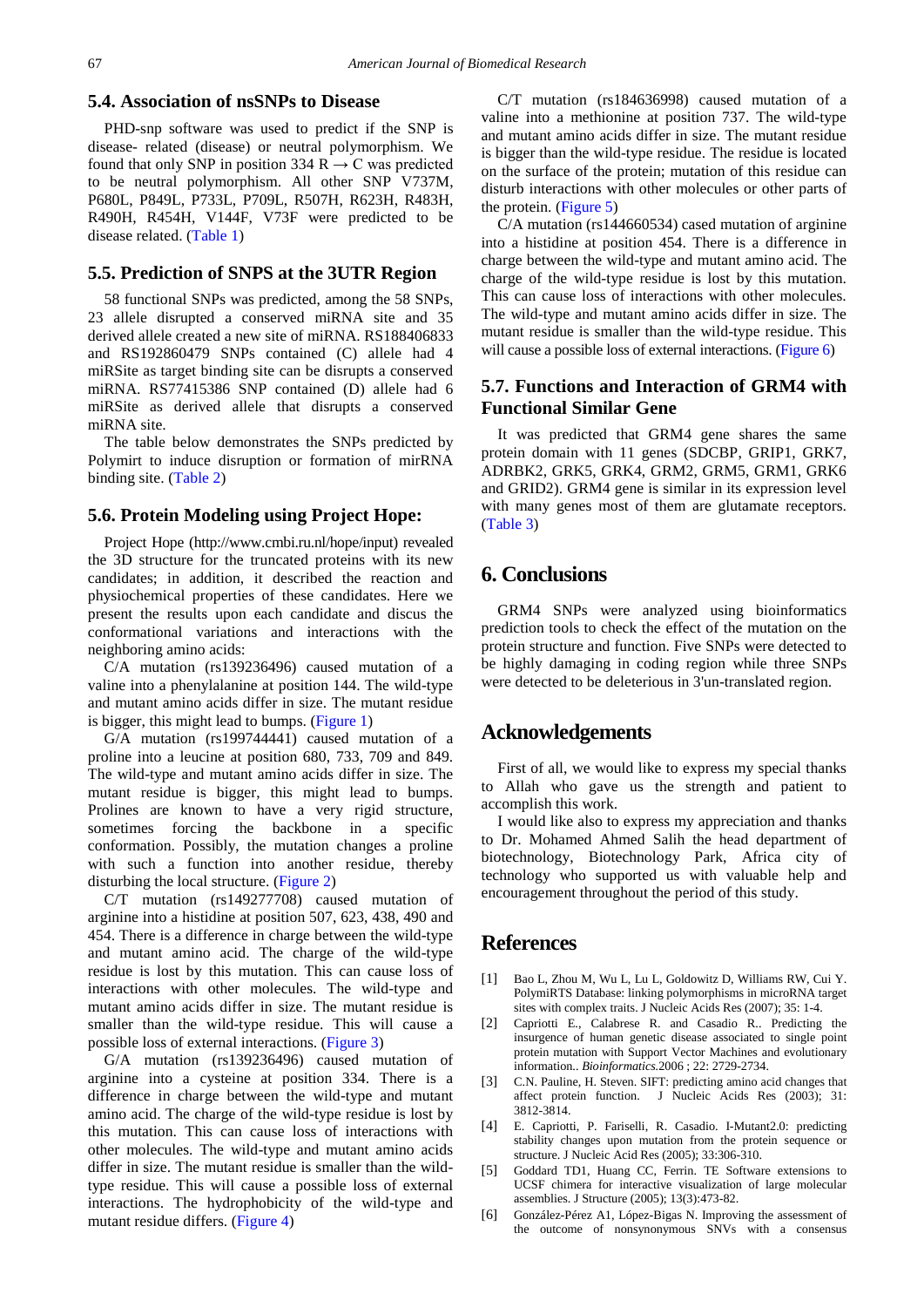#### **5.4. Association of nsSNPs to Disease**

PHD-snp software was used to predict if the SNP is disease- related (disease) or neutral polymorphism. We found that only SNP in position 334 R  $\rightarrow$  C was predicted to be neutral polymorphism. All other SNP V737M, P680L, P849L, P733L, P709L, R507H, R623H, R483H, R490H, R454H, V144F, V73F were predicted to be disease related. [\(Table 1\)](#page-2-0)

#### **5.5. Prediction of SNPS at the 3UTR Region**

58 functional SNPs was predicted, among the 58 SNPs, 23 allele disrupted a conserved miRNA site and 35 derived allele created a new site of miRNA. RS188406833 and RS192860479 SNPs contained (C) allele had 4 miRSite as target binding site can be disrupts a conserved miRNA. RS77415386 SNP contained (D) allele had 6 miRSite as derived allele that disrupts a conserved miRNA site.

The table below demonstrates the SNPs predicted by Polymirt to induce disruption or formation of mirRNA binding site. [\(Table 2\)](#page-3-0)

#### **5.6. Protein Modeling using Project Hope:**

Project Hope (http://www.cmbi.ru.nl/hope/input) revealed the 3D structure for the truncated proteins with its new candidates; in addition, it described the reaction and physiochemical properties of these candidates. Here we present the results upon each candidate and discus the conformational variations and interactions with the neighboring amino acids:

C/A mutation (rs139236496) caused mutation of a valine into a phenylalanine at position 144. The wild-type and mutant amino acids differ in size. The mutant residue is bigger, this might lead to bumps. [\(Figure 1\)](#page-1-0)

G/A mutation (rs199744441) caused mutation of a proline into a leucine at position 680, 733, 709 and 849. The wild-type and mutant amino acids differ in size. The mutant residue is bigger, this might lead to bumps. Prolines are known to have a very rigid structure, sometimes forcing the backbone in a specific conformation. Possibly, the mutation changes a proline with such a function into another residue, thereby disturbing the local structure. [\(Figure 2\)](#page-2-1)

C/T mutation (rs149277708) caused mutation of arginine into a histidine at position 507, 623, 438, 490 and 454. There is a difference in charge between the wild-type and mutant amino acid. The charge of the wild-type residue is lost by this mutation. This can cause loss of interactions with other molecules. The wild-type and mutant amino acids differ in size. The mutant residue is smaller than the wild-type residue. This will cause a possible loss of external interactions. [\(Figure 3\)](#page-2-2)

G/A mutation (rs139236496) caused mutation of arginine into a cysteine at position 334. There is a difference in charge between the wild-type and mutant amino acid. The charge of the wild-type residue is lost by this mutation. This can cause loss of interactions with other molecules. The wild-type and mutant amino acids differ in size. The mutant residue is smaller than the wildtype residue. This will cause a possible loss of external interactions. The hydrophobicity of the wild-type and mutant residue differs. [\(Figure 4\)](#page-2-3)

C/T mutation (rs184636998) caused mutation of a valine into a methionine at position 737. The wild-type and mutant amino acids differ in size. The mutant residue is bigger than the wild-type residue. The residue is located on the surface of the protein; mutation of this residue can disturb interactions with other molecules or other parts of the protein. [\(Figure 5\)](#page-4-0)

C/A mutation (rs144660534) cased mutation of arginine into a histidine at position 454. There is a difference in charge between the wild-type and mutant amino acid. The charge of the wild-type residue is lost by this mutation. This can cause loss of interactions with other molecules. The wild-type and mutant amino acids differ in size. The mutant residue is smaller than the wild-type residue. This will cause a possible loss of external interactions. [\(Figure 6\)](#page-4-1)

## **5.7. Functions and Interaction of GRM4 with Functional Similar Gene**

It was predicted that GRM4 gene shares the same protein domain with 11 genes (SDCBP, GRIP1, GRK7, ADRBK2, GRK5, GRK4, GRM2, GRM5, GRM1, GRK6 and GRID2). GRM4 gene is similar in its expression level with many genes most of them are glutamate receptors. [\(Table 3\)](#page-5-0)

# **6. Conclusions**

GRM4 SNPs were analyzed using bioinformatics prediction tools to check the effect of the mutation on the protein structure and function. Five SNPs were detected to be highly damaging in coding region while three SNPs were detected to be deleterious in 3'un-translated region.

## **Acknowledgements**

First of all, we would like to express my special thanks to Allah who gave us the strength and patient to accomplish this work.

I would like also to express my appreciation and thanks to Dr. Mohamed Ahmed Salih the head department of biotechnology, Biotechnology Park, Africa city of technology who supported us with valuable help and encouragement throughout the period of this study.

# **References**

- <span id="page-6-4"></span>[1] Bao L, Zhou M, Wu L, Lu L, Goldowitz D, Williams RW, Cui Y. PolymiRTS Database: linking polymorphisms in microRNA target sites with complex traits. J Nucleic Acids Res (2007); 35: 1-4.
- <span id="page-6-3"></span>[2] Capriotti E., Calabrese R. and Casadio R.. Predicting the insurgence of human genetic disease associated to single point protein mutation with Support Vector Machines and evolutionary information.. *Bioinformatics.*2006 ; 22: 2729-2734.
- <span id="page-6-0"></span>[3] C.N. Pauline, H. Steven. SIFT: predicting amino acid changes that affect protein function. J Nucleic Acids Res (2003); 31: 3812-3814.
- <span id="page-6-2"></span>[4] E. Capriotti, P. Fariselli, R. Casadio. I-Mutant2.0: predicting stability changes upon mutation from the protein sequence or structure. J Nucleic Acid Res (2005); 33:306-310.
- <span id="page-6-5"></span>[5] Goddard TD1, Huang CC, Ferrin. TE Software extensions to UCSF chimera for interactive visualization of large molecular assemblies. J Structure (2005); 13(3):473-82.
- <span id="page-6-1"></span>[6] González-Pérez A1, López-Bigas N. Improving the assessment of the outcome of nonsynonymous SNVs with a consensus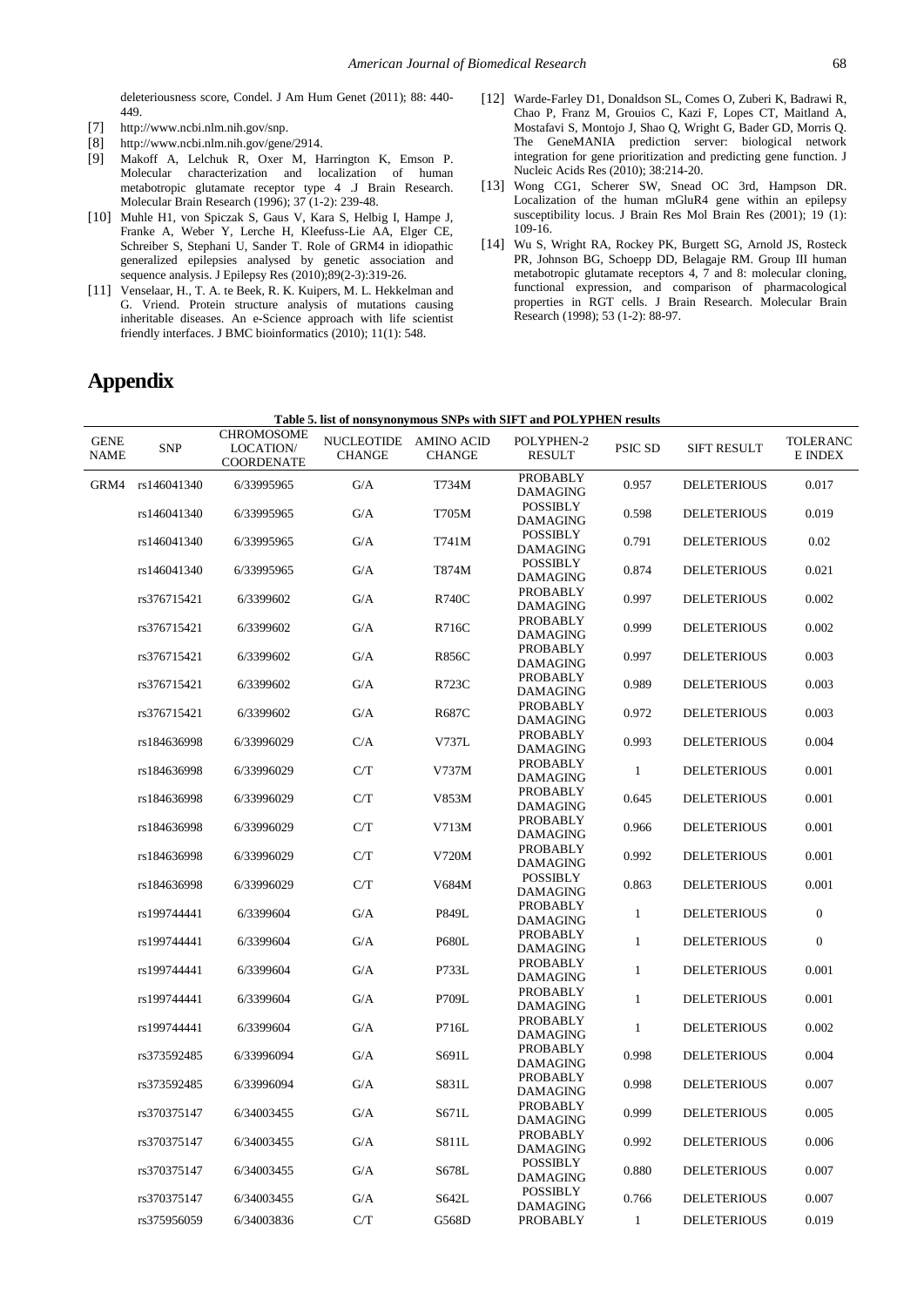deleteriousness score, Condel. J Am Hum Genet (2011); 88: 440- 449.

- <span id="page-7-2"></span>[7] http://www.ncbi.nlm.nih.gov/snp.
- <span id="page-7-0"></span>[8] http://www.ncbi.nlm.nih.gov/gene/2914.
- <span id="page-7-1"></span>[9] Makoff A, Lelchuk R, Oxer M, Harrington K, Emson P. Molecular characterization and localization of human metabotropic glutamate receptor type 4 .J Brain Research. Molecular Brain Research (1996); 37 (1-2): 239-48.
- <span id="page-7-3"></span>[10] Muhle H1, von Spiczak S, Gaus V, Kara S, Helbig I, Hampe J, Franke A, Weber Y, Lerche H, Kleefuss-Lie AA, Elger CE, Schreiber S, Stephani U, Sander T. Role of GRM4 in idiopathic generalized epilepsies analysed by genetic association and sequence analysis. J Epilepsy Res (2010);89(2-3):319-26.
- <span id="page-7-4"></span>[11] Venselaar, H., T. A. te Beek, R. K. Kuipers, M. L. Hekkelman and G. Vriend. Protein structure analysis of mutations causing inheritable diseases. An e-Science approach with life scientist friendly interfaces. J BMC bioinformatics (2010); 11(1): 548.
- <span id="page-7-5"></span>[12] Warde-Farley D1, Donaldson SL, Comes O, Zuberi K, Badrawi R, Chao P, Franz M, Grouios C, Kazi F, Lopes CT, Maitland A, Mostafavi S, Montojo J, Shao Q, Wright G, Bader GD, Morris Q. The GeneMANIA prediction server: biological network integration for gene prioritization and predicting gene function. J Nucleic Acids Res (2010); 38:214-20.
- [13] Wong CG1, Scherer SW, Snead OC 3rd, Hampson DR. Localization of the human mGluR4 gene within an epilepsy susceptibility locus. J Brain Res Mol Brain Res (2001); 19 (1): 109-16.
- [14] Wu S, Wright RA, Rockey PK, Burgett SG, Arnold JS, Rosteck PR, Johnson BG, Schoepp DD, Belagaje RM. Group III human metabotropic glutamate receptors 4, 7 and 8: molecular cloning, functional expression, and comparison of pharmacological properties in RGT cells. J Brain Research. Molecular Brain Research (1998); 53 (1-2): 88-97.

# **Appendix**

|                            |             |                                       |                                        |               | Table 5. list of nonsynonymous SNPs with SIFT and POLYPHEN results |              |                    |                     |
|----------------------------|-------------|---------------------------------------|----------------------------------------|---------------|--------------------------------------------------------------------|--------------|--------------------|---------------------|
| <b>GENE</b><br><b>NAME</b> | <b>SNP</b>  | CHROMOSOME<br>LOCATION/<br>COORDENATE | NUCLEOTIDE AMINO ACID<br><b>CHANGE</b> | <b>CHANGE</b> | POLYPHEN-2<br><b>RESULT</b>                                        | PSIC SD      | <b>SIFT RESULT</b> | TOLERANC<br>E INDEX |
| GRM4                       | rs146041340 | 6/33995965                            | G/A                                    | T734M         | PROBABLY<br><b>DAMAGING</b>                                        | 0.957        | <b>DELETERIOUS</b> | 0.017               |
|                            | rs146041340 | 6/33995965                            | G/A                                    | T705M         | POSSIBLY<br><b>DAMAGING</b>                                        | 0.598        | <b>DELETERIOUS</b> | 0.019               |
|                            | rs146041340 | 6/33995965                            | G/A                                    | T741M         | <b>POSSIBLY</b><br><b>DAMAGING</b>                                 | 0.791        | <b>DELETERIOUS</b> | 0.02                |
|                            | rs146041340 | 6/33995965                            | G/A                                    | T874M         | <b>POSSIBLY</b><br><b>DAMAGING</b>                                 | 0.874        | <b>DELETERIOUS</b> | 0.021               |
|                            | rs376715421 | 6/3399602                             | G/A                                    | <b>R740C</b>  | PROBABLY<br><b>DAMAGING</b>                                        | 0.997        | <b>DELETERIOUS</b> | 0.002               |
|                            | rs376715421 | 6/3399602                             | G/A                                    | R716C         | PROBABLY<br><b>DAMAGING</b>                                        | 0.999        | <b>DELETERIOUS</b> | 0.002               |
|                            | rs376715421 | 6/3399602                             | G/A                                    | <b>R856C</b>  | PROBABLY<br><b>DAMAGING</b>                                        | 0.997        | <b>DELETERIOUS</b> | 0.003               |
|                            | rs376715421 | 6/3399602                             | G/A                                    | R723C         | PROBABLY<br><b>DAMAGING</b>                                        | 0.989        | <b>DELETERIOUS</b> | 0.003               |
|                            | rs376715421 | 6/3399602                             | G/A                                    | R687C         | PROBABLY<br><b>DAMAGING</b>                                        | 0.972        | <b>DELETERIOUS</b> | 0.003               |
|                            | rs184636998 | 6/33996029                            | C/A                                    | V737L         | PROBABLY<br><b>DAMAGING</b>                                        | 0.993        | <b>DELETERIOUS</b> | 0.004               |
|                            | rs184636998 | 6/33996029                            | C/T                                    | V737M         | <b>PROBABLY</b><br><b>DAMAGING</b>                                 | 1            | <b>DELETERIOUS</b> | 0.001               |
|                            | rs184636998 | 6/33996029                            | C/T                                    | V853M         | PROBABLY<br><b>DAMAGING</b>                                        | 0.645        | <b>DELETERIOUS</b> | 0.001               |
|                            | rs184636998 | 6/33996029                            | C/T                                    | V713M         | PROBABLY<br><b>DAMAGING</b>                                        | 0.966        | <b>DELETERIOUS</b> | 0.001               |
|                            | rs184636998 | 6/33996029                            | C/T                                    | V720M         | PROBABLY<br><b>DAMAGING</b>                                        | 0.992        | <b>DELETERIOUS</b> | 0.001               |
|                            | rs184636998 | 6/33996029                            | C/T                                    | V684M         | <b>POSSIBLY</b><br><b>DAMAGING</b>                                 | 0.863        | <b>DELETERIOUS</b> | 0.001               |
|                            | rs199744441 | 6/3399604                             | G/A                                    | P849L         | PROBABLY<br><b>DAMAGING</b>                                        | $\mathbf{1}$ | <b>DELETERIOUS</b> | $\boldsymbol{0}$    |
|                            | rs199744441 | 6/3399604                             | G/A                                    | <b>P680L</b>  | PROBABLY<br><b>DAMAGING</b>                                        | $\mathbf{1}$ | <b>DELETERIOUS</b> | $\boldsymbol{0}$    |
|                            | rs199744441 | 6/3399604                             | G/A                                    | P733L         | PROBABLY<br><b>DAMAGING</b>                                        | $\mathbf{1}$ | <b>DELETERIOUS</b> | 0.001               |
|                            | rs199744441 | 6/3399604                             | G/A                                    | P709L         | PROBABLY<br><b>DAMAGING</b>                                        | $\mathbf{1}$ | <b>DELETERIOUS</b> | 0.001               |
|                            | rs199744441 | 6/3399604                             | G/A                                    | P716L         | PROBABLY<br><b>DAMAGING</b>                                        | $\mathbf{1}$ | <b>DELETERIOUS</b> | 0.002               |
|                            | rs373592485 | 6/33996094                            | G/A                                    | S691L         | PROBABLY<br><b>DAMAGING</b>                                        | 0.998        | <b>DELETERIOUS</b> | 0.004               |
|                            | rs373592485 | 6/33996094                            | G/A                                    | S831L         | PROBABLY<br><b>DAMAGING</b><br><b>PROBABLY</b>                     | 0.998        | <b>DELETERIOUS</b> | 0.007               |
|                            | rs370375147 | 6/34003455                            | G/A                                    | S671L         | <b>DAMAGING</b>                                                    | 0.999        | <b>DELETERIOUS</b> | 0.005               |
|                            | rs370375147 | 6/34003455                            | $\mathrm{G}/\mathrm{A}$                | S811L         | PROBABLY<br><b>DAMAGING</b>                                        | 0.992        | <b>DELETERIOUS</b> | 0.006               |
|                            | rs370375147 | 6/34003455                            | G/A                                    | S678L         | <b>POSSIBLY</b><br><b>DAMAGING</b><br><b>POSSIBLY</b>              | 0.880        | <b>DELETERIOUS</b> | 0.007               |
|                            | rs370375147 | 6/34003455                            | G/A                                    | S642L         | <b>DAMAGING</b>                                                    | 0.766        | <b>DELETERIOUS</b> | 0.007               |
|                            | rs375956059 | 6/34003836                            | $\rm C/T$                              | G568D         | <b>PROBABLY</b>                                                    | $\mathbf{1}$ | <b>DELETERIOUS</b> | 0.019               |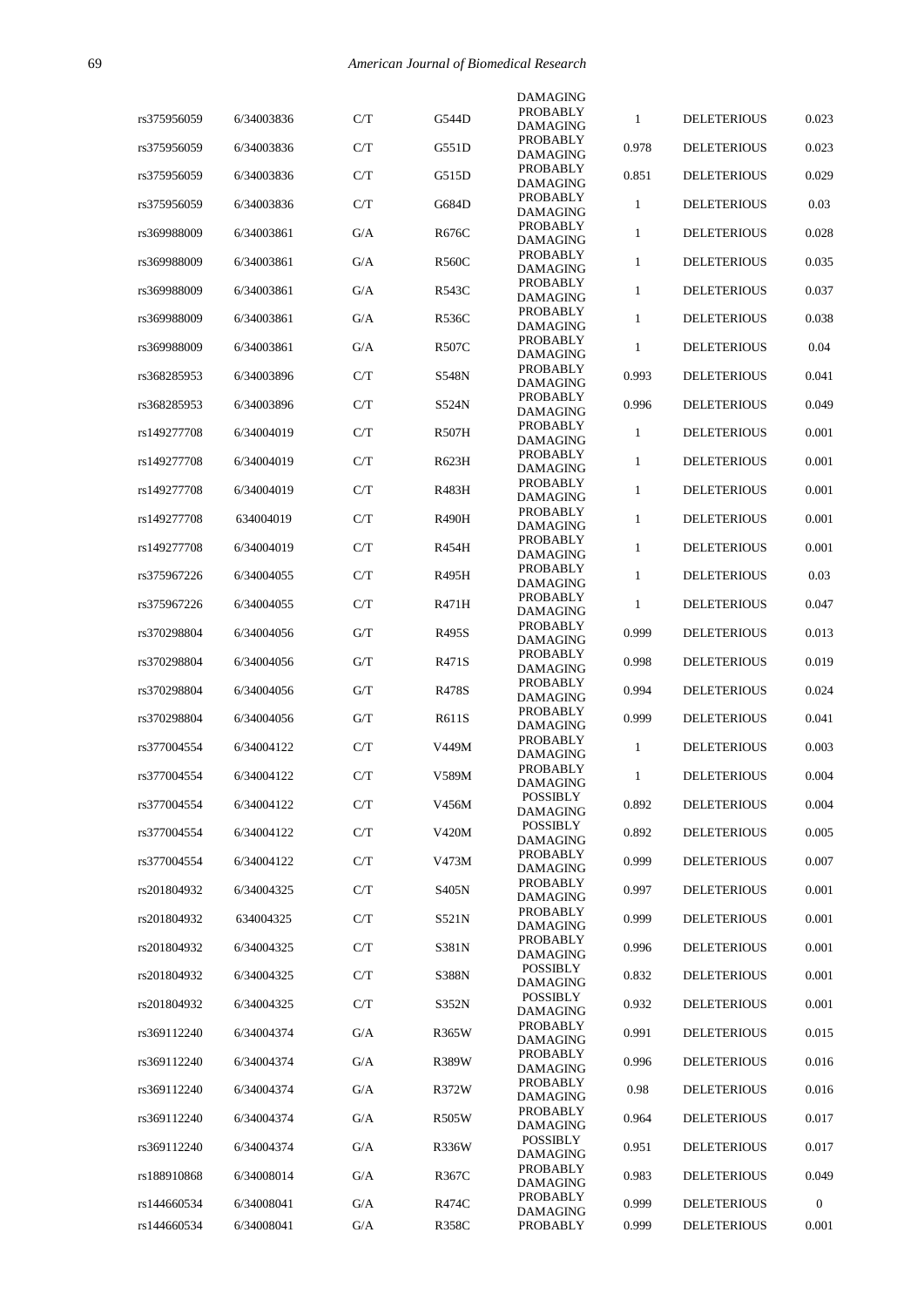|             |            |     |              | <b>DAMAGING</b>                    |              |                    |                |
|-------------|------------|-----|--------------|------------------------------------|--------------|--------------------|----------------|
| rs375956059 | 6/34003836 | C/T | G544D        | PROBABLY<br><b>DAMAGING</b>        | 1            | <b>DELETERIOUS</b> | 0.023          |
| rs375956059 | 6/34003836 | C/T | G551D        | PROBABLY<br><b>DAMAGING</b>        | 0.978        | <b>DELETERIOUS</b> | 0.023          |
| rs375956059 | 6/34003836 | C/T | G515D        | <b>PROBABLY</b><br><b>DAMAGING</b> | 0.851        | <b>DELETERIOUS</b> | 0.029          |
| rs375956059 | 6/34003836 | C/T | G684D        | <b>PROBABLY</b><br><b>DAMAGING</b> | 1            | <b>DELETERIOUS</b> | 0.03           |
| rs369988009 | 6/34003861 | G/A | R676C        | PROBABLY<br><b>DAMAGING</b>        | 1            | <b>DELETERIOUS</b> | 0.028          |
| rs369988009 | 6/34003861 | G/A | <b>R560C</b> | <b>PROBABLY</b><br><b>DAMAGING</b> | $\mathbf{1}$ | <b>DELETERIOUS</b> | 0.035          |
| rs369988009 | 6/34003861 | G/A | R543C        | <b>PROBABLY</b>                    | $\mathbf{1}$ | <b>DELETERIOUS</b> | 0.037          |
| rs369988009 | 6/34003861 | G/A | <b>R536C</b> | <b>DAMAGING</b><br><b>PROBABLY</b> | 1            | <b>DELETERIOUS</b> | 0.038          |
| rs369988009 | 6/34003861 | G/A | <b>R507C</b> | <b>DAMAGING</b><br>PROBABLY        | 1            | <b>DELETERIOUS</b> | 0.04           |
| rs368285953 | 6/34003896 | C/T | S548N        | <b>DAMAGING</b><br>PROBABLY        | 0.993        | <b>DELETERIOUS</b> | 0.041          |
| rs368285953 | 6/34003896 | C/T | S524N        | <b>DAMAGING</b><br>PROBABLY        | 0.996        | <b>DELETERIOUS</b> | 0.049          |
|             |            |     |              | <b>DAMAGING</b><br><b>PROBABLY</b> |              |                    |                |
| rs149277708 | 6/34004019 | C/T | <b>R507H</b> | <b>DAMAGING</b><br>PROBABLY        | 1            | <b>DELETERIOUS</b> | 0.001          |
| rs149277708 | 6/34004019 | C/T | R623H        | <b>DAMAGING</b><br>PROBABLY        | 1            | <b>DELETERIOUS</b> | 0.001          |
| rs149277708 | 6/34004019 | C/T | R483H        | <b>DAMAGING</b>                    | $\mathbf{1}$ | <b>DELETERIOUS</b> | 0.001          |
| rs149277708 | 634004019  | C/T | <b>R490H</b> | PROBABLY<br><b>DAMAGING</b>        | 1            | <b>DELETERIOUS</b> | 0.001          |
| rs149277708 | 6/34004019 | C/T | R454H        | PROBABLY<br><b>DAMAGING</b>        | $\mathbf{1}$ | <b>DELETERIOUS</b> | 0.001          |
| rs375967226 | 6/34004055 | C/T | R495H        | <b>PROBABLY</b><br><b>DAMAGING</b> | 1            | <b>DELETERIOUS</b> | 0.03           |
| rs375967226 | 6/34004055 | C/T | R471H        | PROBABLY<br><b>DAMAGING</b>        | 1            | <b>DELETERIOUS</b> | 0.047          |
| rs370298804 | 6/34004056 | G/T | R495S        | <b>PROBABLY</b><br><b>DAMAGING</b> | 0.999        | <b>DELETERIOUS</b> | 0.013          |
| rs370298804 | 6/34004056 | G/T | R471S        | PROBABLY<br><b>DAMAGING</b>        | 0.998        | <b>DELETERIOUS</b> | 0.019          |
| rs370298804 | 6/34004056 | G/T | R478S        | PROBABLY<br><b>DAMAGING</b>        | 0.994        | <b>DELETERIOUS</b> | 0.024          |
| rs370298804 | 6/34004056 | G/T | R611S        | <b>PROBABLY</b><br><b>DAMAGING</b> | 0.999        | <b>DELETERIOUS</b> | 0.041          |
| rs377004554 | 6/34004122 | C/T | V449M        | PROBABLY                           | 1            | <b>DELETERIOUS</b> | 0.003          |
| rs377004554 | 6/34004122 | C/T | V589M        | <b>DAMAGING</b><br>PROBABLY        | 1            | <b>DELETERIOUS</b> | 0.004          |
| rs377004554 | 6/34004122 | C/T | V456M        | <b>DAMAGING</b><br><b>POSSIBLY</b> | 0.892        | <b>DELETERIOUS</b> | 0.004          |
| rs377004554 | 6/34004122 | C/T | V420M        | <b>DAMAGING</b><br><b>POSSIBLY</b> | 0.892        | <b>DELETERIOUS</b> | 0.005          |
|             |            |     |              | DAMAGING<br><b>PROBABLY</b>        | 0.999        | <b>DELETERIOUS</b> | 0.007          |
| rs377004554 | 6/34004122 | C/T | V473M        | <b>DAMAGING</b><br>PROBABLY        |              |                    |                |
| rs201804932 | 6/34004325 | C/T | S405N        | DAMAGING<br><b>PROBABLY</b>        | 0.997        | <b>DELETERIOUS</b> | 0.001          |
| rs201804932 | 634004325  | C/T | S521N        | <b>DAMAGING</b><br>PROBABLY        | 0.999        | <b>DELETERIOUS</b> | 0.001          |
| rs201804932 | 6/34004325 | C/T | S381N        | DAMAGING                           | 0.996        | <b>DELETERIOUS</b> | 0.001          |
| rs201804932 | 6/34004325 | C/T | S388N        | <b>POSSIBLY</b><br>DAMAGING        | 0.832        | <b>DELETERIOUS</b> | 0.001          |
| rs201804932 | 6/34004325 | C/T | S352N        | <b>POSSIBLY</b><br>DAMAGING        | 0.932        | <b>DELETERIOUS</b> | 0.001          |
| rs369112240 | 6/34004374 | G/A | R365W        | PROBABLY<br><b>DAMAGING</b>        | 0.991        | <b>DELETERIOUS</b> | 0.015          |
| rs369112240 | 6/34004374 | G/A | R389W        | PROBABLY<br><b>DAMAGING</b>        | 0.996        | <b>DELETERIOUS</b> | 0.016          |
| rs369112240 | 6/34004374 | G/A | R372W        | PROBABLY<br><b>DAMAGING</b>        | 0.98         | <b>DELETERIOUS</b> | 0.016          |
| rs369112240 | 6/34004374 | G/A | <b>R505W</b> | PROBABLY<br><b>DAMAGING</b>        | 0.964        | <b>DELETERIOUS</b> | 0.017          |
| rs369112240 | 6/34004374 | G/A | <b>R336W</b> | <b>POSSIBLY</b><br>DAMAGING        | 0.951        | <b>DELETERIOUS</b> | 0.017          |
| rs188910868 | 6/34008014 | G/A | R367C        | PROBABLY<br><b>DAMAGING</b>        | 0.983        | <b>DELETERIOUS</b> | 0.049          |
| rs144660534 | 6/34008041 | G/A | R474C        | PROBABLY                           | 0.999        | <b>DELETERIOUS</b> | $\overline{0}$ |
| rs144660534 | 6/34008041 | G/A | <b>R358C</b> | DAMAGING<br>PROBABLY               | 0.999        | <b>DELETERIOUS</b> | 0.001          |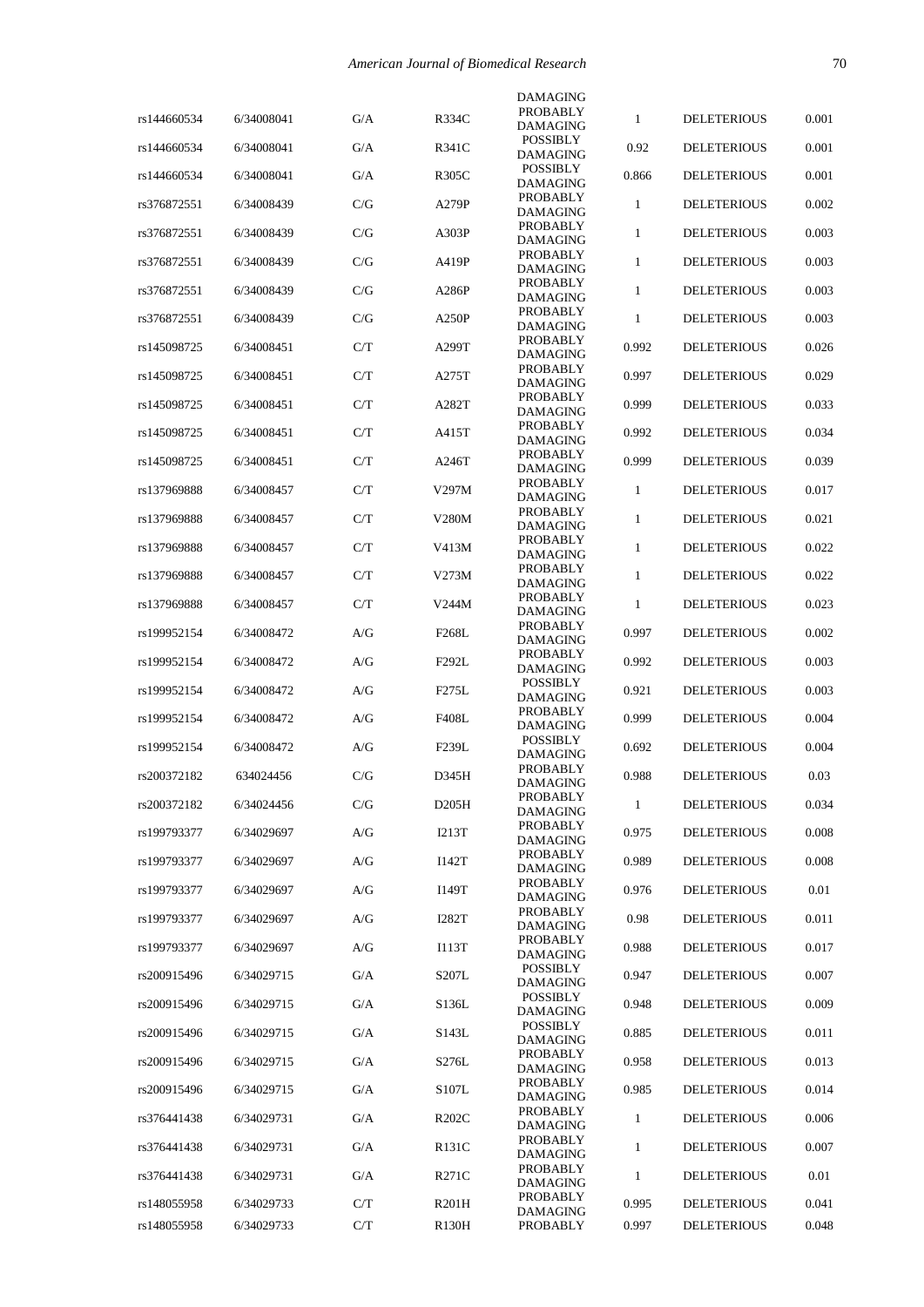|             |            |     |                    | <b>DAMAGING</b>                    |              |                    |       |
|-------------|------------|-----|--------------------|------------------------------------|--------------|--------------------|-------|
| rs144660534 | 6/34008041 | G/A | R334C              | PROBABLY<br>DAMAGING               | 1            | <b>DELETERIOUS</b> | 0.001 |
| rs144660534 | 6/34008041 | G/A | R341C              | <b>POSSIBLY</b>                    | 0.92         | <b>DELETERIOUS</b> | 0.001 |
| rs144660534 | 6/34008041 | G/A | R305C              | DAMAGING<br><b>POSSIBLY</b>        | 0.866        | <b>DELETERIOUS</b> | 0.001 |
|             |            |     |                    | <b>DAMAGING</b><br><b>PROBABLY</b> |              |                    |       |
| rs376872551 | 6/34008439 | C/G | A279P              | DAMAGING                           | 1            | <b>DELETERIOUS</b> | 0.002 |
| rs376872551 | 6/34008439 | C/G | A303P              | PROBABLY<br>DAMAGING               | 1            | <b>DELETERIOUS</b> | 0.003 |
| rs376872551 | 6/34008439 | C/G | A419P              | <b>PROBABLY</b><br>DAMAGING        | 1            | <b>DELETERIOUS</b> | 0.003 |
| rs376872551 | 6/34008439 | C/G | A286P              | <b>PROBABLY</b><br>DAMAGING        | 1            | <b>DELETERIOUS</b> | 0.003 |
| rs376872551 | 6/34008439 | C/G | A250P              | PROBABLY                           | 1            | <b>DELETERIOUS</b> | 0.003 |
| rs145098725 | 6/34008451 | C/T | A299T              | DAMAGING<br><b>PROBABLY</b>        | 0.992        | <b>DELETERIOUS</b> | 0.026 |
|             |            |     |                    | DAMAGING<br><b>PROBABLY</b>        |              |                    |       |
| rs145098725 | 6/34008451 | C/T | A275T              | DAMAGING<br>PROBABLY               | 0.997        | <b>DELETERIOUS</b> | 0.029 |
| rs145098725 | 6/34008451 | C/T | A282T              | DAMAGING                           | 0.999        | <b>DELETERIOUS</b> | 0.033 |
| rs145098725 | 6/34008451 | C/T | A415T              | <b>PROBABLY</b><br>DAMAGING        | 0.992        | <b>DELETERIOUS</b> | 0.034 |
| rs145098725 | 6/34008451 | C/T | A246T              | <b>PROBABLY</b><br><b>DAMAGING</b> | 0.999        | <b>DELETERIOUS</b> | 0.039 |
| rs137969888 | 6/34008457 | C/T | V297M              | <b>PROBABLY</b>                    | 1            | <b>DELETERIOUS</b> | 0.017 |
| rs137969888 | 6/34008457 | C/T | V280M              | DAMAGING<br><b>PROBABLY</b>        | $\mathbf{1}$ | <b>DELETERIOUS</b> | 0.021 |
|             |            |     |                    | <b>DAMAGING</b><br><b>PROBABLY</b> |              |                    |       |
| rs137969888 | 6/34008457 | C/T | V413M              | <b>DAMAGING</b><br><b>PROBABLY</b> | $\mathbf{1}$ | <b>DELETERIOUS</b> | 0.022 |
| rs137969888 | 6/34008457 | C/T | V273M              | DAMAGING                           | 1            | <b>DELETERIOUS</b> | 0.022 |
| rs137969888 | 6/34008457 | C/T | V244M              | <b>PROBABLY</b><br><b>DAMAGING</b> | 1            | <b>DELETERIOUS</b> | 0.023 |
| rs199952154 | 6/34008472 | A/G | F <sub>268</sub> L | <b>PROBABLY</b><br>DAMAGING        | 0.997        | <b>DELETERIOUS</b> | 0.002 |
| rs199952154 | 6/34008472 | A/G | F292L              | <b>PROBABLY</b><br>DAMAGING        | 0.992        | <b>DELETERIOUS</b> | 0.003 |
| rs199952154 | 6/34008472 | A/G | F275L              | <b>POSSIBLY</b>                    | 0.921        | <b>DELETERIOUS</b> | 0.003 |
| rs199952154 | 6/34008472 | A/G | <b>F408L</b>       | <b>DAMAGING</b><br>PROBABLY        | 0.999        | <b>DELETERIOUS</b> | 0.004 |
|             |            |     |                    | <b>DAMAGING</b><br><b>POSSIBLY</b> |              |                    |       |
| rs199952154 | 6/34008472 | A/G | F <sub>239</sub> L | DAMAGING<br>PROBABLY               | 0.692        | <b>DELETERIOUS</b> | 0.004 |
| rs200372182 | 634024456  | C/G | D345H              | <b>DAMAGING</b>                    | 0.988        | <b>DELETERIOUS</b> | 0.03  |
| rs200372182 | 6/34024456 | C/G | D205H              | <b>PROBABLY</b><br><b>DAMAGING</b> | $\mathbf{1}$ | <b>DELETERIOUS</b> | 0.034 |
| rs199793377 | 6/34029697 | A/G | <b>I213T</b>       | PROBABLY<br>DAMAGING               | 0.975        | <b>DELETERIOUS</b> | 0.008 |
| rs199793377 | 6/34029697 | A/G | I142T              | PROBABLY<br>DAMAGING               | 0.989        | <b>DELETERIOUS</b> | 0.008 |
| rs199793377 | 6/34029697 | A/G | I149T              | PROBABLY                           | 0.976        | <b>DELETERIOUS</b> | 0.01  |
| rs199793377 | 6/34029697 | A/G | I282T              | DAMAGING<br><b>PROBABLY</b>        | 0.98         | <b>DELETERIOUS</b> | 0.011 |
|             |            |     |                    | DAMAGING<br>PROBABLY               |              |                    |       |
| rs199793377 | 6/34029697 | A/G | I113T              | DAMAGING<br><b>POSSIBLY</b>        | 0.988        | <b>DELETERIOUS</b> | 0.017 |
| rs200915496 | 6/34029715 | G/A | S207L              | DAMAGING                           | 0.947        | <b>DELETERIOUS</b> | 0.007 |
| rs200915496 | 6/34029715 | G/A | S136L              | <b>POSSIBLY</b><br>DAMAGING        | 0.948        | <b>DELETERIOUS</b> | 0.009 |
| rs200915496 | 6/34029715 | G/A | S143L              | <b>POSSIBLY</b><br>DAMAGING        | 0.885        | <b>DELETERIOUS</b> | 0.011 |
| rs200915496 | 6/34029715 | G/A | S276L              | PROBABLY<br>DAMAGING               | 0.958        | <b>DELETERIOUS</b> | 0.013 |
| rs200915496 | 6/34029715 | G/A | S107L              | PROBABLY<br>DAMAGING               | 0.985        | <b>DELETERIOUS</b> | 0.014 |
| rs376441438 | 6/34029731 | G/A | R <sub>202</sub> C | PROBABLY                           | 1            | <b>DELETERIOUS</b> | 0.006 |
| rs376441438 | 6/34029731 | G/A | R131C              | DAMAGING<br>PROBABLY               | 1            | <b>DELETERIOUS</b> | 0.007 |
|             |            |     |                    | DAMAGING<br>PROBABLY               |              |                    |       |
| rs376441438 | 6/34029731 | G/A | R271C              | DAMAGING<br>PROBABLY               | 1            | <b>DELETERIOUS</b> | 0.01  |
| rs148055958 | 6/34029733 | C/T | R201H              | DAMAGING                           | 0.995        | <b>DELETERIOUS</b> | 0.041 |
| rs148055958 | 6/34029733 | C/T | R130H              | PROBABLY                           | 0.997        | <b>DELETERIOUS</b> | 0.048 |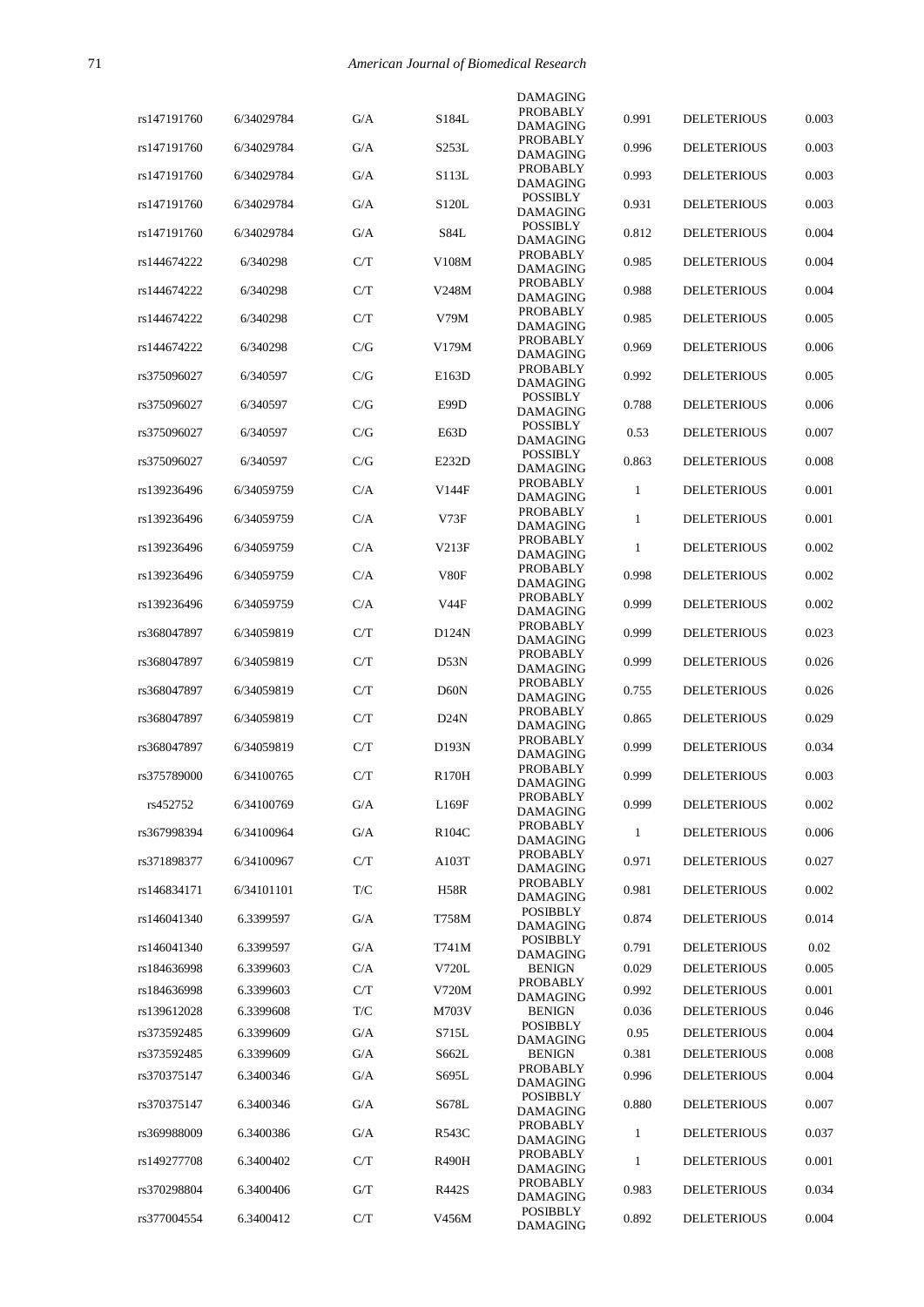|             |            |     |              | DAMAGING                           |              |                    |       |
|-------------|------------|-----|--------------|------------------------------------|--------------|--------------------|-------|
| rs147191760 | 6/34029784 | G/A | S184L        | PROBABLY<br>DAMAGING               | 0.991        | <b>DELETERIOUS</b> | 0.003 |
| rs147191760 | 6/34029784 | G/A | S253L        | <b>PROBABLY</b>                    | 0.996        | <b>DELETERIOUS</b> | 0.003 |
| rs147191760 | 6/34029784 | G/A | S113L        | DAMAGING<br>PROBABLY               | 0.993        | <b>DELETERIOUS</b> | 0.003 |
|             |            |     |              | DAMAGING<br><b>POSSIBLY</b>        |              |                    |       |
| rs147191760 | 6/34029784 | G/A | S120L        | DAMAGING                           | 0.931        | <b>DELETERIOUS</b> | 0.003 |
| rs147191760 | 6/34029784 | G/A | S84L         | <b>POSSIBLY</b><br><b>DAMAGING</b> | 0.812        | <b>DELETERIOUS</b> | 0.004 |
| rs144674222 | 6/340298   | C/T | V108M        | <b>PROBABLY</b><br>DAMAGING        | 0.985        | <b>DELETERIOUS</b> | 0.004 |
| rs144674222 | 6/340298   | C/T | V248M        | PROBABLY<br><b>DAMAGING</b>        | 0.988        | <b>DELETERIOUS</b> | 0.004 |
| rs144674222 | 6/340298   | C/T | V79M         | <b>PROBABLY</b>                    | 0.985        | <b>DELETERIOUS</b> | 0.005 |
| rs144674222 | 6/340298   | C/G | V179M        | DAMAGING<br><b>PROBABLY</b>        | 0.969        | <b>DELETERIOUS</b> | 0.006 |
|             |            |     |              | <b>DAMAGING</b><br>PROBABLY        |              |                    |       |
| rs375096027 | 6/340597   | C/G | E163D        | DAMAGING                           | 0.992        | <b>DELETERIOUS</b> | 0.005 |
| rs375096027 | 6/340597   | C/G | E99D         | <b>POSSIBLY</b><br><b>DAMAGING</b> | 0.788        | <b>DELETERIOUS</b> | 0.006 |
| rs375096027 | 6/340597   | C/G | E63D         | <b>POSSIBLY</b><br>DAMAGING        | 0.53         | <b>DELETERIOUS</b> | 0.007 |
| rs375096027 | 6/340597   | C/G | E232D        | <b>POSSIBLY</b><br>DAMAGING        | 0.863        | <b>DELETERIOUS</b> | 0.008 |
| rs139236496 | 6/34059759 | C/A | V144F        | <b>PROBABLY</b>                    | 1            | <b>DELETERIOUS</b> | 0.001 |
|             |            |     |              | DAMAGING<br><b>PROBABLY</b>        |              |                    |       |
| rs139236496 | 6/34059759 | C/A | V73F         | DAMAGING<br><b>PROBABLY</b>        | 1            | <b>DELETERIOUS</b> | 0.001 |
| rs139236496 | 6/34059759 | C/A | V213F        | DAMAGING                           | 1            | <b>DELETERIOUS</b> | 0.002 |
| rs139236496 | 6/34059759 | C/A | V80F         | PROBABLY<br>DAMAGING               | 0.998        | <b>DELETERIOUS</b> | 0.002 |
| rs139236496 | 6/34059759 | C/A | V44F         | PROBABLY<br>DAMAGING               | 0.999        | <b>DELETERIOUS</b> | 0.002 |
| rs368047897 | 6/34059819 | C/T | D124N        | <b>PROBABLY</b>                    | 0.999        | <b>DELETERIOUS</b> | 0.023 |
| rs368047897 | 6/34059819 | C/T | D53N         | DAMAGING<br>PROBABLY               | 0.999        | <b>DELETERIOUS</b> | 0.026 |
|             |            |     |              | DAMAGING<br>PROBABLY               |              |                    |       |
| rs368047897 | 6/34059819 | C/T | D60N         | <b>DAMAGING</b><br><b>PROBABLY</b> | 0.755        | <b>DELETERIOUS</b> | 0.026 |
| rs368047897 | 6/34059819 | C/T | D24N         | DAMAGING                           | 0.865        | <b>DELETERIOUS</b> | 0.029 |
| rs368047897 | 6/34059819 | C/T | D193N        | PROBABLY<br>DAMAGING               | 0.999        | <b>DELETERIOUS</b> | 0.034 |
| rs375789000 | 6/34100765 | C/T | <b>R170H</b> | PROBABLY<br><b>DAMAGING</b>        | 0.999        | <b>DELETERIOUS</b> | 0.003 |
| rs452752    | 6/34100769 | G/A | L169F        | PROBABLY                           | 0.999        | <b>DELETERIOUS</b> | 0.002 |
| rs367998394 | 6/34100964 | G/A | R104C        | <b>DAMAGING</b><br>PROBABLY        | $\mathbf{1}$ | <b>DELETERIOUS</b> | 0.006 |
|             |            |     |              | DAMAGING<br>PROBABLY               |              |                    |       |
| rs371898377 | 6/34100967 | C/T | A103T        | DAMAGING                           | 0.971        | <b>DELETERIOUS</b> | 0.027 |
| rs146834171 | 6/34101101 | T/C | <b>H58R</b>  | PROBABLY<br>DAMAGING               | 0.981        | <b>DELETERIOUS</b> | 0.002 |
| rs146041340 | 6.3399597  | G/A | T758M        | <b>POSIBBLY</b><br><b>DAMAGING</b> | 0.874        | <b>DELETERIOUS</b> | 0.014 |
| rs146041340 | 6.3399597  | G/A | T741M        | <b>POSIBBLY</b><br>DAMAGING        | 0.791        | <b>DELETERIOUS</b> | 0.02  |
| rs184636998 | 6.3399603  | C/A | V720L        | <b>BENIGN</b>                      | 0.029        | <b>DELETERIOUS</b> | 0.005 |
| rs184636998 | 6.3399603  | C/T | V720M        | PROBABLY<br>DAMAGING               | 0.992        | <b>DELETERIOUS</b> | 0.001 |
| rs139612028 | 6.3399608  | T/C | M703V        | <b>BENIGN</b><br><b>POSIBBLY</b>   | 0.036        | <b>DELETERIOUS</b> | 0.046 |
| rs373592485 | 6.3399609  | G/A | S715L        | DAMAGING                           | 0.95         | <b>DELETERIOUS</b> | 0.004 |
| rs373592485 | 6.3399609  | G/A | S662L        | <b>BENIGN</b><br>PROBABLY          | 0.381        | <b>DELETERIOUS</b> | 0.008 |
| rs370375147 | 6.3400346  | G/A | S695L        | DAMAGING                           | 0.996        | <b>DELETERIOUS</b> | 0.004 |
| rs370375147 | 6.3400346  | G/A | S678L        | <b>POSIBBLY</b><br>DAMAGING        | 0.880        | <b>DELETERIOUS</b> | 0.007 |
| rs369988009 | 6.3400386  | G/A | R543C        | PROBABLY<br>DAMAGING               | $\mathbf{1}$ | <b>DELETERIOUS</b> | 0.037 |
| rs149277708 | 6.3400402  | C/T | <b>R490H</b> | PROBABLY                           | 1            | <b>DELETERIOUS</b> | 0.001 |
| rs370298804 | 6.3400406  | G/T | R442S        | DAMAGING<br>PROBABLY               | 0.983        | <b>DELETERIOUS</b> | 0.034 |
|             |            |     |              | DAMAGING<br><b>POSIBBLY</b>        |              |                    |       |
| rs377004554 | 6.3400412  | C/T | V456M        | DAMAGING                           | 0.892        | <b>DELETERIOUS</b> | 0.004 |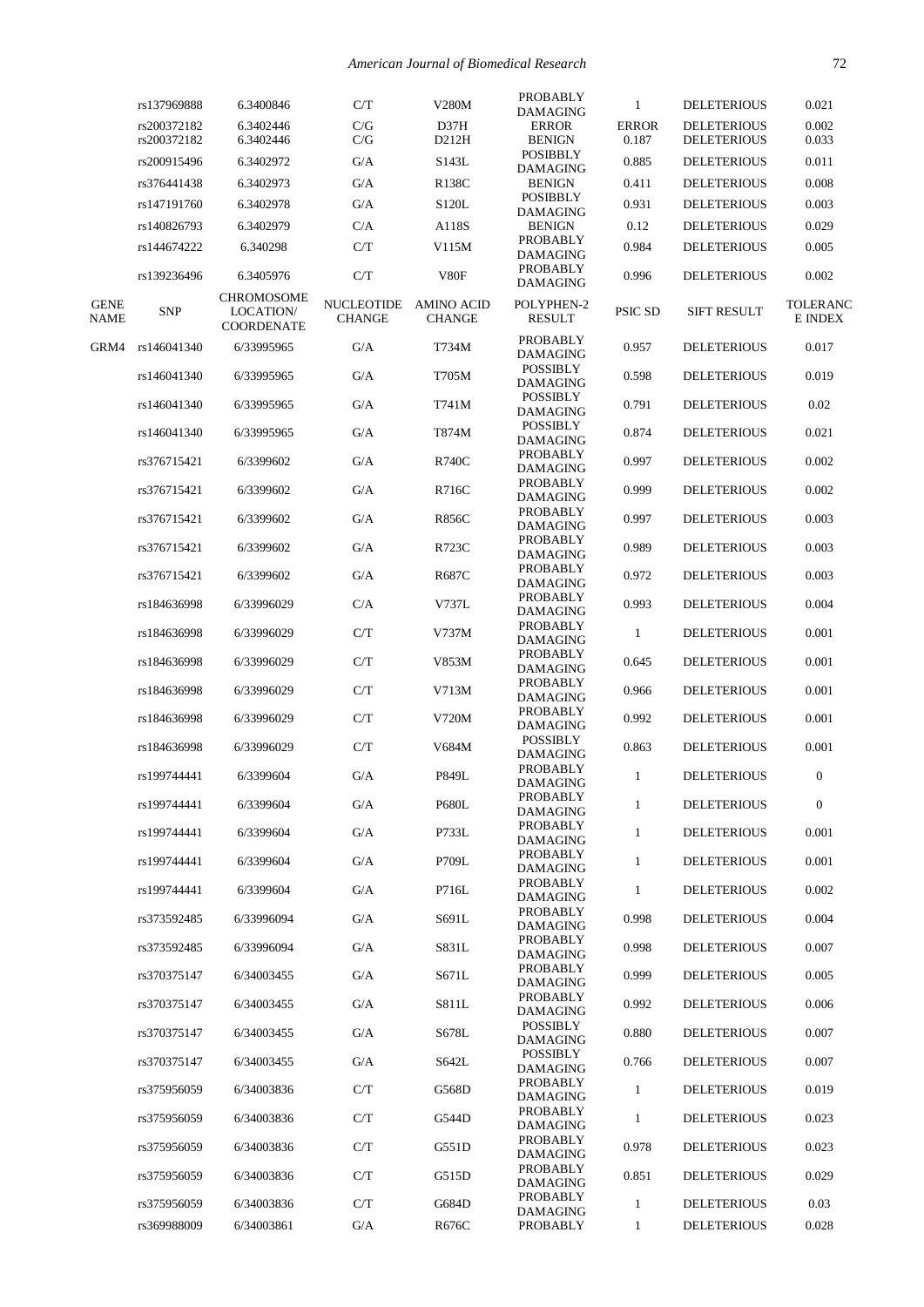|                     | rs137969888                | 6.3400846                                           | C/T                                | V280M                              | PROBABLY<br><b>DAMAGING</b>        | 1                     | <b>DELETERIOUS</b>                       | 0.021                      |
|---------------------|----------------------------|-----------------------------------------------------|------------------------------------|------------------------------------|------------------------------------|-----------------------|------------------------------------------|----------------------------|
|                     | rs200372182<br>rs200372182 | 6.3402446<br>6.3402446                              | C/G<br>C/G                         | D37H<br>D212H                      | <b>ERROR</b><br><b>BENIGN</b>      | <b>ERROR</b><br>0.187 | <b>DELETERIOUS</b><br><b>DELETERIOUS</b> | 0.002<br>0.033             |
|                     | rs200915496                | 6.3402972                                           | G/A                                | S143L                              | <b>POSIBBLY</b><br><b>DAMAGING</b> | 0.885                 | <b>DELETERIOUS</b>                       | 0.011                      |
|                     | rs376441438                | 6.3402973                                           | G/A                                | R138C                              | <b>BENIGN</b>                      | 0.411                 | <b>DELETERIOUS</b>                       | 0.008                      |
|                     | rs147191760                | 6.3402978                                           | G/A                                | S120L                              | <b>POSIBBLY</b><br><b>DAMAGING</b> | 0.931                 | <b>DELETERIOUS</b>                       | 0.003                      |
|                     | rs140826793                | 6.3402979                                           | C/A                                | A118S                              | <b>BENIGN</b>                      | 0.12                  | <b>DELETERIOUS</b>                       | 0.029                      |
|                     | rs144674222                | 6.340298                                            | C/T                                | V115M                              | PROBABLY<br><b>DAMAGING</b>        | 0.984                 | <b>DELETERIOUS</b>                       | 0.005                      |
|                     | rs139236496                | 6.3405976                                           | C/T                                | V80F                               | <b>PROBABLY</b><br><b>DAMAGING</b> | 0.996                 | <b>DELETERIOUS</b>                       | 0.002                      |
| <b>GENE</b><br>NAME | <b>SNP</b>                 | <b>CHROMOSOME</b><br>LOCATION/<br><b>COORDENATE</b> | <b>NUCLEOTIDE</b><br><b>CHANGE</b> | <b>AMINO ACID</b><br><b>CHANGE</b> | POLYPHEN-2<br><b>RESULT</b>        | PSIC SD               | <b>SIFT RESULT</b>                       | <b>TOLERANC</b><br>E INDEX |
| GRM4                | rs146041340                | 6/33995965                                          | G/A                                | T734M                              | <b>PROBABLY</b><br><b>DAMAGING</b> | 0.957                 | <b>DELETERIOUS</b>                       | 0.017                      |
|                     | rs146041340                | 6/33995965                                          | G/A                                | T705M                              | <b>POSSIBLY</b><br><b>DAMAGING</b> | 0.598                 | <b>DELETERIOUS</b>                       | 0.019                      |
|                     | rs146041340                | 6/33995965                                          | G/A                                | T741M                              | <b>POSSIBLY</b><br><b>DAMAGING</b> | 0.791                 | <b>DELETERIOUS</b>                       | 0.02                       |
|                     | rs146041340                | 6/33995965                                          | G/A                                | T874M                              | <b>POSSIBLY</b><br><b>DAMAGING</b> | 0.874                 | <b>DELETERIOUS</b>                       | 0.021                      |
|                     | rs376715421                | 6/3399602                                           | G/A                                | <b>R740C</b>                       | PROBABLY<br><b>DAMAGING</b>        | 0.997                 | <b>DELETERIOUS</b>                       | 0.002                      |
|                     | rs376715421                | 6/3399602                                           | G/A                                | R716C                              | <b>PROBABLY</b><br><b>DAMAGING</b> | 0.999                 | <b>DELETERIOUS</b>                       | 0.002                      |
|                     | rs376715421                | 6/3399602                                           | G/A                                | <b>R856C</b>                       | PROBABLY<br><b>DAMAGING</b>        | 0.997                 | <b>DELETERIOUS</b>                       | 0.003                      |
|                     | rs376715421                | 6/3399602                                           | G/A                                | R723C                              | PROBABLY<br><b>DAMAGING</b>        | 0.989                 | <b>DELETERIOUS</b>                       | 0.003                      |
|                     | rs376715421                | 6/3399602                                           | G/A                                | R687C                              | <b>PROBABLY</b><br><b>DAMAGING</b> | 0.972                 | <b>DELETERIOUS</b>                       | 0.003                      |
|                     | rs184636998                | 6/33996029                                          | C/A                                | V737L                              | PROBABLY<br><b>DAMAGING</b>        | 0.993                 | <b>DELETERIOUS</b>                       | 0.004                      |
|                     | rs184636998                | 6/33996029                                          | C/T                                | V737M                              | <b>PROBABLY</b><br><b>DAMAGING</b> | 1                     | <b>DELETERIOUS</b>                       | 0.001                      |
|                     | rs184636998                | 6/33996029                                          | C/T                                | V853M                              | PROBABLY<br><b>DAMAGING</b>        | 0.645                 | <b>DELETERIOUS</b>                       | 0.001                      |
|                     | rs184636998                | 6/33996029                                          | C/T                                | V713M                              | PROBABLY<br><b>DAMAGING</b>        | 0.966                 | <b>DELETERIOUS</b>                       | 0.001                      |
|                     | rs184636998                | 6/33996029                                          | C/T                                | V720M                              | PROBABLY<br><b>DAMAGING</b>        | 0.992                 | <b>DELETERIOUS</b>                       | 0.001                      |
|                     | rs184636998                | 6/33996029                                          | C/T                                | V684M                              | <b>POSSIBLY</b><br><b>DAMAGING</b> | 0.863                 | <b>DELETERIOUS</b>                       | 0.001                      |
|                     | rs199744441                | 6/3399604                                           | G/A                                | P849L                              | PROBABLY<br><b>DAMAGING</b>        | 1                     | <b>DELETERIOUS</b>                       | $\boldsymbol{0}$           |
|                     | rs199744441                | 6/3399604                                           | G/A                                | <b>P680L</b>                       | PROBABLY<br><b>DAMAGING</b>        | $\mathbf{1}$          | <b>DELETERIOUS</b>                       | $\boldsymbol{0}$           |
|                     | rs199744441                | 6/3399604                                           | G/A                                | P733L                              | PROBABLY<br>DAMAGING               | 1                     | <b>DELETERIOUS</b>                       | 0.001                      |
|                     | rs199744441                | 6/3399604                                           | G/A                                | P709L                              | PROBABLY<br><b>DAMAGING</b>        | 1                     | <b>DELETERIOUS</b>                       | 0.001                      |
|                     | rs199744441                | 6/3399604                                           | G/A                                | P716L                              | PROBABLY                           | 1                     | <b>DELETERIOUS</b>                       | 0.002                      |
|                     | rs373592485                | 6/33996094                                          | G/A                                | S691L                              | <b>DAMAGING</b><br><b>PROBABLY</b> | 0.998                 | <b>DELETERIOUS</b>                       | 0.004                      |
|                     | rs373592485                | 6/33996094                                          | G/A                                | S831L                              | <b>DAMAGING</b><br>PROBABLY        | 0.998                 | <b>DELETERIOUS</b>                       | 0.007                      |
|                     | rs370375147                |                                                     |                                    | S671L                              | <b>DAMAGING</b><br>PROBABLY        |                       | <b>DELETERIOUS</b>                       | 0.005                      |
|                     |                            | 6/34003455                                          | G/A                                |                                    | <b>DAMAGING</b><br><b>PROBABLY</b> | 0.999                 |                                          |                            |
|                     | rs370375147                | 6/34003455                                          | G/A                                | S811L                              | <b>DAMAGING</b><br><b>POSSIBLY</b> | 0.992                 | <b>DELETERIOUS</b>                       | 0.006                      |
|                     | rs370375147                | 6/34003455                                          | G/A                                | S678L                              | <b>DAMAGING</b><br><b>POSSIBLY</b> | 0.880                 | <b>DELETERIOUS</b>                       | 0.007                      |
|                     | rs370375147                | 6/34003455                                          | G/A                                | S642L                              | <b>DAMAGING</b><br>PROBABLY        | 0.766                 | <b>DELETERIOUS</b>                       | 0.007                      |
|                     | rs375956059                | 6/34003836                                          | C/T                                | G568D                              | <b>DAMAGING</b><br>PROBABLY        | $\mathbf{1}$          | <b>DELETERIOUS</b>                       | 0.019                      |
|                     | rs375956059                | 6/34003836                                          | C/T                                | G544D                              | <b>DAMAGING</b><br>PROBABLY        | 1                     | <b>DELETERIOUS</b>                       | 0.023                      |
|                     | rs375956059                | 6/34003836                                          | C/T                                | G551D                              | <b>DAMAGING</b>                    | 0.978                 | <b>DELETERIOUS</b>                       | 0.023                      |
|                     | rs375956059                | 6/34003836                                          | C/T                                | G515D                              | <b>PROBABLY</b><br><b>DAMAGING</b> | 0.851                 | <b>DELETERIOUS</b>                       | 0.029                      |
|                     | rs375956059                | 6/34003836                                          | C/T                                | G684D                              | PROBABLY<br><b>DAMAGING</b>        | 1                     | <b>DELETERIOUS</b>                       | 0.03                       |
|                     | rs369988009                | 6/34003861                                          | G/A                                | R676C                              | <b>PROBABLY</b>                    | $\mathbf{1}$          | <b>DELETERIOUS</b>                       | 0.028                      |